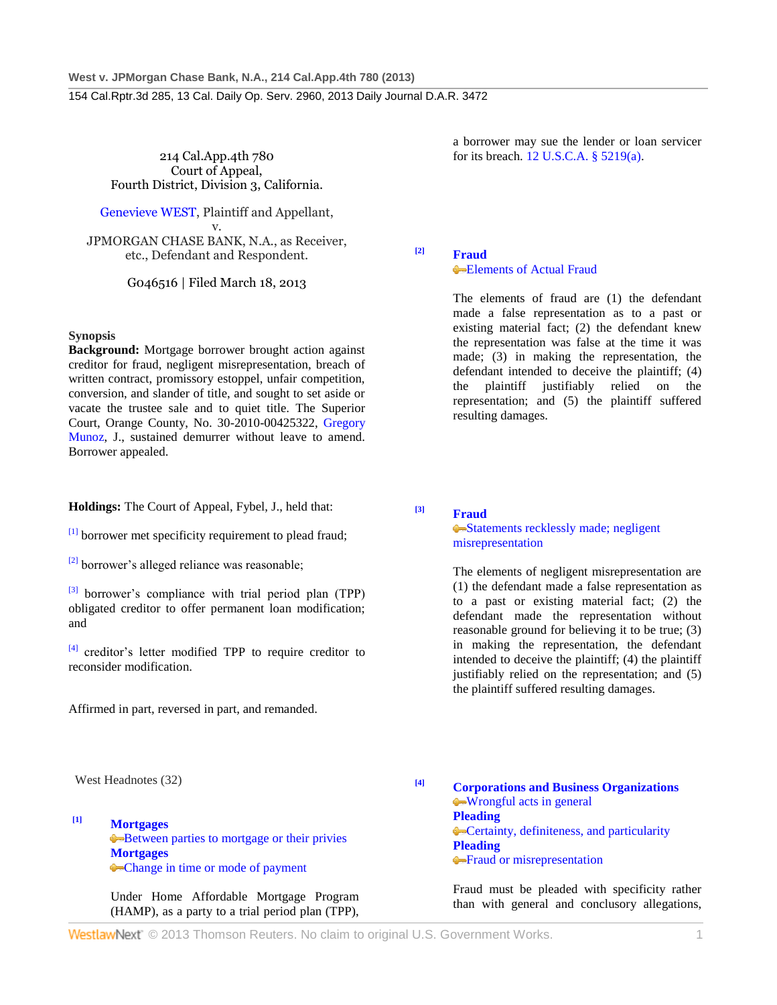214 Cal.App.4th 780 Court of Appeal, Fourth District, Division 3, California.

[Genevieve WEST,](http://www.westlaw.com/Search/Results.html?query=advanced%3a+OAID(5016908600)&saveJuris=False&contentType=BUSINESS-INVESTIGATOR&startIndex=1&contextData=(sc.Default)&categoryPageUrl=Home%2fCompanyInvestigator&originationContext=document&vr=3.0&rs=cblt1.0&transitionType=DocumentItem) Plaintiff and Appellant,

v. JPMORGAN CHASE BANK, N.A., as Receiver, etc., Defendant and Respondent.

G046516 | Filed March 18, 2013

#### **Synopsis**

**Background:** Mortgage borrower brought action against creditor for fraud, negligent misrepresentation, breach of written contract, promissory estoppel, unfair competition, conversion, and slander of title, and sought to set aside or vacate the trustee sale and to quiet title. The Superior Court, Orange County, No. 30-2010-00425322, [Gregory](http://www.westlaw.com/Link/Document/FullText?findType=h&pubNum=176284&cite=0245418201&originatingDoc=Idf95addd905311e2981ea20c4f198a69&refType=RQ&originationContext=document&vr=3.0&rs=cblt1.0&transitionType=DocumentItem&contextData=(sc.UserEnteredCitation))  [Munoz,](http://www.westlaw.com/Link/Document/FullText?findType=h&pubNum=176284&cite=0245418201&originatingDoc=Idf95addd905311e2981ea20c4f198a69&refType=RQ&originationContext=document&vr=3.0&rs=cblt1.0&transitionType=DocumentItem&contextData=(sc.UserEnteredCitation)) J., sustained demurrer without leave to amend. Borrower appealed.

**Holdings:** The Court of Appeal, Fybel, J., held that:

 $\left[1\right]$  borrower met specificity requirement to plead fraud;

<sup>[2]</sup> borrower's alleged reliance was reasonable;

 $^{[3]}$  borrower's compliance with trial period plan (TPP) obligated creditor to offer permanent loan modification; and

[4] creditor's letter modified TPP to require creditor to reconsider modification.

Affirmed in part, reversed in part, and remanded.

a borrower may sue the lender or loan servicer for its breach[. 12 U.S.C.A. § 5219\(a\).](http://www.westlaw.com/Link/Document/FullText?findType=L&pubNum=1000546&cite=12USCAS5219&originatingDoc=Idf95addd905311e2981ea20c4f198a69&refType=SP&originationContext=document&vr=3.0&rs=cblt1.0&transitionType=DocumentItem&contextData=(sc.UserEnteredCitation)#co_pp_8b3b0000958a4)

**[2] [Fraud](http://www.westlaw.com/Browse/Home/KeyNumber/184/View.html?docGuid=Idf95addd905311e2981ea20c4f198a69&originationContext=document&vr=3.0&rs=cblt1.0&transitionType=DocumentItem&contextData=(sc.UserEnteredCitation))**

# [Elements of Actual Fraud](http://www.westlaw.com/Browse/Home/KeyNumber/184k2/View.html?docGuid=Idf95addd905311e2981ea20c4f198a69&originationContext=document&vr=3.0&rs=cblt1.0&transitionType=DocumentItem&contextData=(sc.UserEnteredCitation))

The elements of fraud are (1) the defendant made a false representation as to a past or existing material fact; (2) the defendant knew the representation was false at the time it was made; (3) in making the representation, the defendant intended to deceive the plaintiff; (4) the plaintiff justifiably relied on the representation; and (5) the plaintiff suffered resulting damages.

**[3] [Fraud](http://www.westlaw.com/Browse/Home/KeyNumber/184/View.html?docGuid=Idf95addd905311e2981ea20c4f198a69&originationContext=document&vr=3.0&rs=cblt1.0&transitionType=DocumentItem&contextData=(sc.UserEnteredCitation))**

Statements recklessly made; negligent [misrepresentation](http://www.westlaw.com/Browse/Home/KeyNumber/184k13(3)/View.html?docGuid=Idf95addd905311e2981ea20c4f198a69&originationContext=document&vr=3.0&rs=cblt1.0&transitionType=DocumentItem&contextData=(sc.UserEnteredCitation))

The elements of negligent misrepresentation are (1) the defendant made a false representation as to a past or existing material fact; (2) the defendant made the representation without reasonable ground for believing it to be true; (3) in making the representation, the defendant intended to deceive the plaintiff; (4) the plaintiff justifiably relied on the representation; and (5) the plaintiff suffered resulting damages.

West Headnotes (32)

# **[1] [Mortgages](http://www.westlaw.com/Browse/Home/KeyNumber/266/View.html?docGuid=Idf95addd905311e2981ea20c4f198a69&originationContext=document&vr=3.0&rs=cblt1.0&transitionType=DocumentItem&contextData=(sc.UserEnteredCitation))**

**[Between parties to mortgage or their privies](http://www.westlaw.com/Browse/Home/KeyNumber/266k216/View.html?docGuid=Idf95addd905311e2981ea20c4f198a69&originationContext=document&vr=3.0&rs=cblt1.0&transitionType=DocumentItem&contextData=(sc.UserEnteredCitation)) [Mortgages](http://www.westlaw.com/Browse/Home/KeyNumber/266/View.html?docGuid=Idf95addd905311e2981ea20c4f198a69&originationContext=document&vr=3.0&rs=cblt1.0&transitionType=DocumentItem&contextData=(sc.UserEnteredCitation))** [Change in time or mode of payment](http://www.westlaw.com/Browse/Home/KeyNumber/266k306/View.html?docGuid=Idf95addd905311e2981ea20c4f198a69&originationContext=document&vr=3.0&rs=cblt1.0&transitionType=DocumentItem&contextData=(sc.UserEnteredCitation))

Under Home Affordable Mortgage Program (HAMP), as a party to a trial period plan (TPP),

**[4] [Corporations and Business Organizations](http://www.westlaw.com/Browse/Home/KeyNumber/101/View.html?docGuid=Idf95addd905311e2981ea20c4f198a69&originationContext=document&vr=3.0&rs=cblt1.0&transitionType=DocumentItem&contextData=(sc.UserEnteredCitation))** [Wrongful acts in general](http://www.westlaw.com/Browse/Home/KeyNumber/101k2566/View.html?docGuid=Idf95addd905311e2981ea20c4f198a69&originationContext=document&vr=3.0&rs=cblt1.0&transitionType=DocumentItem&contextData=(sc.UserEnteredCitation)) **[Pleading](http://www.westlaw.com/Browse/Home/KeyNumber/302/View.html?docGuid=Idf95addd905311e2981ea20c4f198a69&originationContext=document&vr=3.0&rs=cblt1.0&transitionType=DocumentItem&contextData=(sc.UserEnteredCitation)) [Certainty, definiteness, and particularity](http://www.westlaw.com/Browse/Home/KeyNumber/302k18/View.html?docGuid=Idf95addd905311e2981ea20c4f198a69&originationContext=document&vr=3.0&rs=cblt1.0&transitionType=DocumentItem&contextData=(sc.UserEnteredCitation)) [Pleading](http://www.westlaw.com/Browse/Home/KeyNumber/302/View.html?docGuid=Idf95addd905311e2981ea20c4f198a69&originationContext=document&vr=3.0&rs=cblt1.0&transitionType=DocumentItem&contextData=(sc.UserEnteredCitation)) [Fraud or misrepresentation](http://www.westlaw.com/Browse/Home/KeyNumber/302k8(15)/View.html?docGuid=Idf95addd905311e2981ea20c4f198a69&originationContext=document&vr=3.0&rs=cblt1.0&transitionType=DocumentItem&contextData=(sc.UserEnteredCitation))** 

> Fraud must be pleaded with specificity rather than with general and conclusory allegations,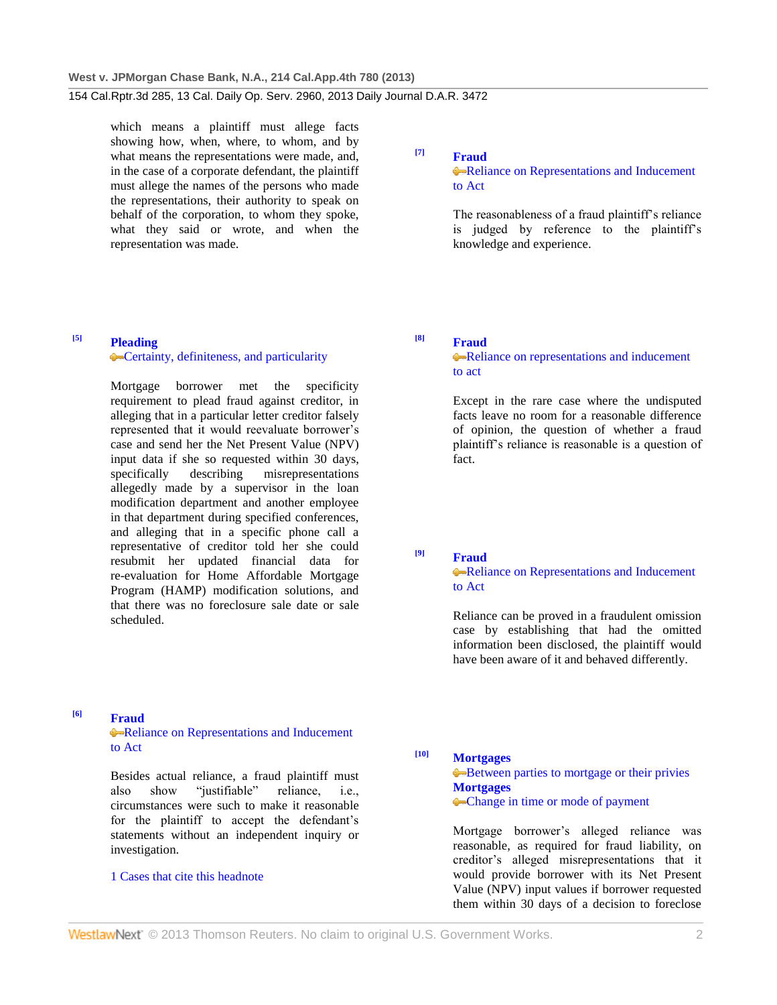which means a plaintiff must allege facts showing how, when, where, to whom, and by what means the representations were made, and, in the case of a corporate defendant, the plaintiff must allege the names of the persons who made the representations, their authority to speak on behalf of the corporation, to whom they spoke, what they said or wrote, and when the representation was made.

#### **[5] [Pleading](http://www.westlaw.com/Browse/Home/KeyNumber/302/View.html?docGuid=Idf95addd905311e2981ea20c4f198a69&originationContext=document&vr=3.0&rs=cblt1.0&transitionType=DocumentItem&contextData=(sc.UserEnteredCitation))**

#### **[Certainty, definiteness, and particularity](http://www.westlaw.com/Browse/Home/KeyNumber/302k18/View.html?docGuid=Idf95addd905311e2981ea20c4f198a69&originationContext=document&vr=3.0&rs=cblt1.0&transitionType=DocumentItem&contextData=(sc.UserEnteredCitation))**

Mortgage borrower met the specificity requirement to plead fraud against creditor, in alleging that in a particular letter creditor falsely represented that it would reevaluate borrower's case and send her the Net Present Value (NPV) input data if she so requested within 30 days, specifically describing misrepresentations allegedly made by a supervisor in the loan modification department and another employee in that department during specified conferences, and alleging that in a specific phone call a representative of creditor told her she could resubmit her updated financial data for re-evaluation for Home Affordable Mortgage Program (HAMP) modification solutions, and that there was no foreclosure sale date or sale scheduled.

#### **[6] [Fraud](http://www.westlaw.com/Browse/Home/KeyNumber/184/View.html?docGuid=Idf95addd905311e2981ea20c4f198a69&originationContext=document&vr=3.0&rs=cblt1.0&transitionType=DocumentItem&contextData=(sc.UserEnteredCitation))**

#### [Reliance on Representations and Inducement](http://www.westlaw.com/Browse/Home/KeyNumber/184k19/View.html?docGuid=Idf95addd905311e2981ea20c4f198a69&originationContext=document&vr=3.0&rs=cblt1.0&transitionType=DocumentItem&contextData=(sc.UserEnteredCitation))  [to Act](http://www.westlaw.com/Browse/Home/KeyNumber/184k19/View.html?docGuid=Idf95addd905311e2981ea20c4f198a69&originationContext=document&vr=3.0&rs=cblt1.0&transitionType=DocumentItem&contextData=(sc.UserEnteredCitation))

Besides actual reliance, a fraud plaintiff must also show "justifiable" reliance, i.e., circumstances were such to make it reasonable for the plaintiff to accept the defendant's statements without an independent inquiry or investigation.

## [1 Cases that cite this headnote](http://www.westlaw.com/Link/RelatedInformation/DocHeadnoteLink?docGuid=Idf95addd905311e2981ea20c4f198a69&headnoteId=203015784900720130522222708&originationContext=document&vr=3.0&rs=cblt1.0&transitionType=CitingReferences&contextData=(sc.UserEnteredCitation))

# **[7] [Fraud](http://www.westlaw.com/Browse/Home/KeyNumber/184/View.html?docGuid=Idf95addd905311e2981ea20c4f198a69&originationContext=document&vr=3.0&rs=cblt1.0&transitionType=DocumentItem&contextData=(sc.UserEnteredCitation))**

**A**-Reliance on Representations and Inducement [to Act](http://www.westlaw.com/Browse/Home/KeyNumber/184k19/View.html?docGuid=Idf95addd905311e2981ea20c4f198a69&originationContext=document&vr=3.0&rs=cblt1.0&transitionType=DocumentItem&contextData=(sc.UserEnteredCitation))

The reasonableness of a fraud plaintiff's reliance is judged by reference to the plaintiff's knowledge and experience.

#### **[8] [Fraud](http://www.westlaw.com/Browse/Home/KeyNumber/184/View.html?docGuid=Idf95addd905311e2981ea20c4f198a69&originationContext=document&vr=3.0&rs=cblt1.0&transitionType=DocumentItem&contextData=(sc.UserEnteredCitation))**

**A**-Reliance on representations and inducement [to act](http://www.westlaw.com/Browse/Home/KeyNumber/184k64(5)/View.html?docGuid=Idf95addd905311e2981ea20c4f198a69&originationContext=document&vr=3.0&rs=cblt1.0&transitionType=DocumentItem&contextData=(sc.UserEnteredCitation))

Except in the rare case where the undisputed facts leave no room for a reasonable difference of opinion, the question of whether a fraud plaintiff's reliance is reasonable is a question of fact.

**[9] [Fraud](http://www.westlaw.com/Browse/Home/KeyNumber/184/View.html?docGuid=Idf95addd905311e2981ea20c4f198a69&originationContext=document&vr=3.0&rs=cblt1.0&transitionType=DocumentItem&contextData=(sc.UserEnteredCitation))**

#### **A**-Reliance on Representations and Inducement [to Act](http://www.westlaw.com/Browse/Home/KeyNumber/184k19/View.html?docGuid=Idf95addd905311e2981ea20c4f198a69&originationContext=document&vr=3.0&rs=cblt1.0&transitionType=DocumentItem&contextData=(sc.UserEnteredCitation))

Reliance can be proved in a fraudulent omission case by establishing that had the omitted information been disclosed, the plaintiff would have been aware of it and behaved differently.

# **[10] [Mortgages](http://www.westlaw.com/Browse/Home/KeyNumber/266/View.html?docGuid=Idf95addd905311e2981ea20c4f198a69&originationContext=document&vr=3.0&rs=cblt1.0&transitionType=DocumentItem&contextData=(sc.UserEnteredCitation))**

[Between parties to mortgage or their privies](http://www.westlaw.com/Browse/Home/KeyNumber/266k216/View.html?docGuid=Idf95addd905311e2981ea20c4f198a69&originationContext=document&vr=3.0&rs=cblt1.0&transitionType=DocumentItem&contextData=(sc.UserEnteredCitation)) **[Mortgages](http://www.westlaw.com/Browse/Home/KeyNumber/266/View.html?docGuid=Idf95addd905311e2981ea20c4f198a69&originationContext=document&vr=3.0&rs=cblt1.0&transitionType=DocumentItem&contextData=(sc.UserEnteredCitation))** [Change in time or mode of payment](http://www.westlaw.com/Browse/Home/KeyNumber/266k306/View.html?docGuid=Idf95addd905311e2981ea20c4f198a69&originationContext=document&vr=3.0&rs=cblt1.0&transitionType=DocumentItem&contextData=(sc.UserEnteredCitation))

Mortgage borrower's alleged reliance was reasonable, as required for fraud liability, on creditor's alleged misrepresentations that it would provide borrower with its Net Present Value (NPV) input values if borrower requested them within 30 days of a decision to foreclose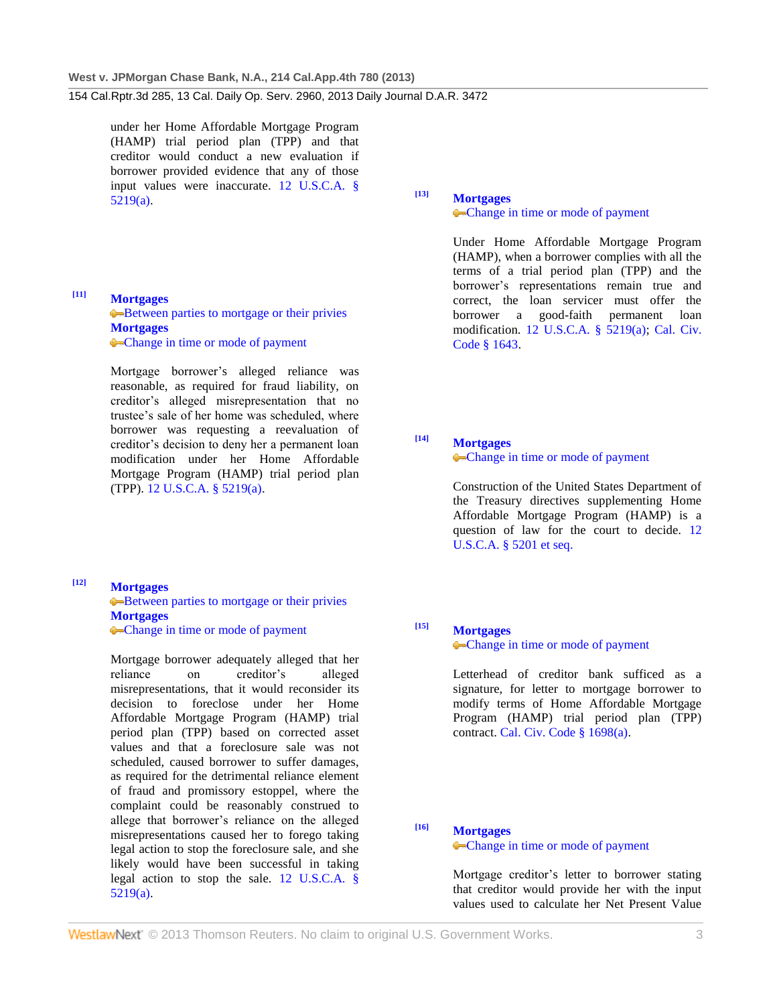under her Home Affordable Mortgage Program (HAMP) trial period plan (TPP) and that creditor would conduct a new evaluation if borrower provided evidence that any of those input values were inaccurate. [12 U.S.C.A. §](http://www.westlaw.com/Link/Document/FullText?findType=L&pubNum=1000546&cite=12USCAS5219&originatingDoc=Idf95addd905311e2981ea20c4f198a69&refType=SP&originationContext=document&vr=3.0&rs=cblt1.0&transitionType=DocumentItem&contextData=(sc.UserEnteredCitation)#co_pp_8b3b0000958a4)  [5219\(a\).](http://www.westlaw.com/Link/Document/FullText?findType=L&pubNum=1000546&cite=12USCAS5219&originatingDoc=Idf95addd905311e2981ea20c4f198a69&refType=SP&originationContext=document&vr=3.0&rs=cblt1.0&transitionType=DocumentItem&contextData=(sc.UserEnteredCitation)#co_pp_8b3b0000958a4)

## **[11] [Mortgages](http://www.westlaw.com/Browse/Home/KeyNumber/266/View.html?docGuid=Idf95addd905311e2981ea20c4f198a69&originationContext=document&vr=3.0&rs=cblt1.0&transitionType=DocumentItem&contextData=(sc.UserEnteredCitation))**

[Between parties to mortgage or their privies](http://www.westlaw.com/Browse/Home/KeyNumber/266k216/View.html?docGuid=Idf95addd905311e2981ea20c4f198a69&originationContext=document&vr=3.0&rs=cblt1.0&transitionType=DocumentItem&contextData=(sc.UserEnteredCitation)) **[Mortgages](http://www.westlaw.com/Browse/Home/KeyNumber/266/View.html?docGuid=Idf95addd905311e2981ea20c4f198a69&originationContext=document&vr=3.0&rs=cblt1.0&transitionType=DocumentItem&contextData=(sc.UserEnteredCitation))** [Change in time or mode of payment](http://www.westlaw.com/Browse/Home/KeyNumber/266k306/View.html?docGuid=Idf95addd905311e2981ea20c4f198a69&originationContext=document&vr=3.0&rs=cblt1.0&transitionType=DocumentItem&contextData=(sc.UserEnteredCitation))

Mortgage borrower's alleged reliance was reasonable, as required for fraud liability, on creditor's alleged misrepresentation that no trustee's sale of her home was scheduled, where borrower was requesting a reevaluation of creditor's decision to deny her a permanent loan modification under her Home Affordable Mortgage Program (HAMP) trial period plan (TPP). [12 U.S.C.A. § 5219\(a\).](http://www.westlaw.com/Link/Document/FullText?findType=L&pubNum=1000546&cite=12USCAS5219&originatingDoc=Idf95addd905311e2981ea20c4f198a69&refType=SP&originationContext=document&vr=3.0&rs=cblt1.0&transitionType=DocumentItem&contextData=(sc.UserEnteredCitation)#co_pp_8b3b0000958a4)

# **[12] [Mortgages](http://www.westlaw.com/Browse/Home/KeyNumber/266/View.html?docGuid=Idf95addd905311e2981ea20c4f198a69&originationContext=document&vr=3.0&rs=cblt1.0&transitionType=DocumentItem&contextData=(sc.UserEnteredCitation))**

[Between parties to mortgage or their privies](http://www.westlaw.com/Browse/Home/KeyNumber/266k216/View.html?docGuid=Idf95addd905311e2981ea20c4f198a69&originationContext=document&vr=3.0&rs=cblt1.0&transitionType=DocumentItem&contextData=(sc.UserEnteredCitation)) **[Mortgages](http://www.westlaw.com/Browse/Home/KeyNumber/266/View.html?docGuid=Idf95addd905311e2981ea20c4f198a69&originationContext=document&vr=3.0&rs=cblt1.0&transitionType=DocumentItem&contextData=(sc.UserEnteredCitation))** [Change in time or mode of payment](http://www.westlaw.com/Browse/Home/KeyNumber/266k306/View.html?docGuid=Idf95addd905311e2981ea20c4f198a69&originationContext=document&vr=3.0&rs=cblt1.0&transitionType=DocumentItem&contextData=(sc.UserEnteredCitation))

Mortgage borrower adequately alleged that her reliance on creditor's alleged misrepresentations, that it would reconsider its decision to foreclose under her Home Affordable Mortgage Program (HAMP) trial period plan (TPP) based on corrected asset values and that a foreclosure sale was not scheduled, caused borrower to suffer damages, as required for the detrimental reliance element of fraud and promissory estoppel, where the complaint could be reasonably construed to allege that borrower's reliance on the alleged misrepresentations caused her to forego taking legal action to stop the foreclosure sale, and she likely would have been successful in taking legal action to stop the sale. [12 U.S.C.A. §](http://www.westlaw.com/Link/Document/FullText?findType=L&pubNum=1000546&cite=12USCAS5219&originatingDoc=Idf95addd905311e2981ea20c4f198a69&refType=SP&originationContext=document&vr=3.0&rs=cblt1.0&transitionType=DocumentItem&contextData=(sc.UserEnteredCitation)#co_pp_8b3b0000958a4)  [5219\(a\).](http://www.westlaw.com/Link/Document/FullText?findType=L&pubNum=1000546&cite=12USCAS5219&originatingDoc=Idf95addd905311e2981ea20c4f198a69&refType=SP&originationContext=document&vr=3.0&rs=cblt1.0&transitionType=DocumentItem&contextData=(sc.UserEnteredCitation)#co_pp_8b3b0000958a4)

**[13] [Mortgages](http://www.westlaw.com/Browse/Home/KeyNumber/266/View.html?docGuid=Idf95addd905311e2981ea20c4f198a69&originationContext=document&vr=3.0&rs=cblt1.0&transitionType=DocumentItem&contextData=(sc.UserEnteredCitation))**

#### [Change in time or mode of payment](http://www.westlaw.com/Browse/Home/KeyNumber/266k306/View.html?docGuid=Idf95addd905311e2981ea20c4f198a69&originationContext=document&vr=3.0&rs=cblt1.0&transitionType=DocumentItem&contextData=(sc.UserEnteredCitation))

Under Home Affordable Mortgage Program (HAMP), when a borrower complies with all the terms of a trial period plan (TPP) and the borrower's representations remain true and correct, the loan servicer must offer the borrower a good-faith permanent loan modification. [12 U.S.C.A. § 5219\(a\);](http://www.westlaw.com/Link/Document/FullText?findType=L&pubNum=1000546&cite=12USCAS5219&originatingDoc=Idf95addd905311e2981ea20c4f198a69&refType=SP&originationContext=document&vr=3.0&rs=cblt1.0&transitionType=DocumentItem&contextData=(sc.UserEnteredCitation)#co_pp_8b3b0000958a4) [Cal. Civ.](http://www.westlaw.com/Link/Document/FullText?findType=L&pubNum=1000200&cite=CACIS1643&originatingDoc=Idf95addd905311e2981ea20c4f198a69&refType=LQ&originationContext=document&vr=3.0&rs=cblt1.0&transitionType=DocumentItem&contextData=(sc.UserEnteredCitation))  [Code § 1643.](http://www.westlaw.com/Link/Document/FullText?findType=L&pubNum=1000200&cite=CACIS1643&originatingDoc=Idf95addd905311e2981ea20c4f198a69&refType=LQ&originationContext=document&vr=3.0&rs=cblt1.0&transitionType=DocumentItem&contextData=(sc.UserEnteredCitation))

# **[14] [Mortgages](http://www.westlaw.com/Browse/Home/KeyNumber/266/View.html?docGuid=Idf95addd905311e2981ea20c4f198a69&originationContext=document&vr=3.0&rs=cblt1.0&transitionType=DocumentItem&contextData=(sc.UserEnteredCitation))**

[Change in time or mode of payment](http://www.westlaw.com/Browse/Home/KeyNumber/266k306/View.html?docGuid=Idf95addd905311e2981ea20c4f198a69&originationContext=document&vr=3.0&rs=cblt1.0&transitionType=DocumentItem&contextData=(sc.UserEnteredCitation))

Construction of the United States Department of the Treasury directives supplementing Home Affordable Mortgage Program (HAMP) is a question of law for the court to decide. [12](http://www.westlaw.com/Link/Document/FullText?findType=L&pubNum=1000546&cite=12USCAS5201&originatingDoc=Idf95addd905311e2981ea20c4f198a69&refType=LQ&originationContext=document&vr=3.0&rs=cblt1.0&transitionType=DocumentItem&contextData=(sc.UserEnteredCitation))  [U.S.C.A. § 5201 et seq.](http://www.westlaw.com/Link/Document/FullText?findType=L&pubNum=1000546&cite=12USCAS5201&originatingDoc=Idf95addd905311e2981ea20c4f198a69&refType=LQ&originationContext=document&vr=3.0&rs=cblt1.0&transitionType=DocumentItem&contextData=(sc.UserEnteredCitation))

# **[15] [Mortgages](http://www.westlaw.com/Browse/Home/KeyNumber/266/View.html?docGuid=Idf95addd905311e2981ea20c4f198a69&originationContext=document&vr=3.0&rs=cblt1.0&transitionType=DocumentItem&contextData=(sc.UserEnteredCitation))**

[Change in time or mode of payment](http://www.westlaw.com/Browse/Home/KeyNumber/266k306/View.html?docGuid=Idf95addd905311e2981ea20c4f198a69&originationContext=document&vr=3.0&rs=cblt1.0&transitionType=DocumentItem&contextData=(sc.UserEnteredCitation))

Letterhead of creditor bank sufficed as a signature, for letter to mortgage borrower to modify terms of Home Affordable Mortgage Program (HAMP) trial period plan (TPP) contract. [Cal. Civ. Code § 1698\(a\).](http://www.westlaw.com/Link/Document/FullText?findType=L&pubNum=1000200&cite=CACIS1698&originatingDoc=Idf95addd905311e2981ea20c4f198a69&refType=SP&originationContext=document&vr=3.0&rs=cblt1.0&transitionType=DocumentItem&contextData=(sc.UserEnteredCitation)#co_pp_8b3b0000958a4)

## **[16] [Mortgages](http://www.westlaw.com/Browse/Home/KeyNumber/266/View.html?docGuid=Idf95addd905311e2981ea20c4f198a69&originationContext=document&vr=3.0&rs=cblt1.0&transitionType=DocumentItem&contextData=(sc.UserEnteredCitation))**

[Change in time or mode of payment](http://www.westlaw.com/Browse/Home/KeyNumber/266k306/View.html?docGuid=Idf95addd905311e2981ea20c4f198a69&originationContext=document&vr=3.0&rs=cblt1.0&transitionType=DocumentItem&contextData=(sc.UserEnteredCitation))

Mortgage creditor's letter to borrower stating that creditor would provide her with the input values used to calculate her Net Present Value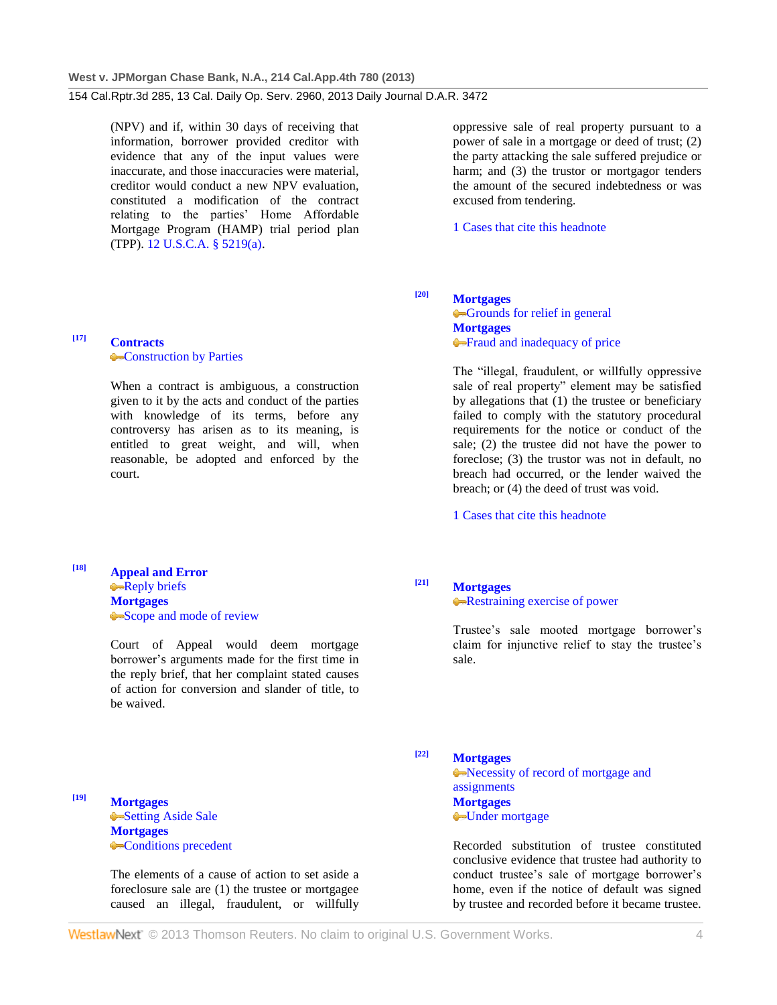(NPV) and if, within 30 days of receiving that information, borrower provided creditor with evidence that any of the input values were inaccurate, and those inaccuracies were material, creditor would conduct a new NPV evaluation constituted a modification of the contract relating to the parties' Home Affordable Mortgage Program (HAMP) trial period plan (TPP). [12 U.S.C.A. § 5219\(a\).](http://www.westlaw.com/Link/Document/FullText?findType=L&pubNum=1000546&cite=12USCAS5219&originatingDoc=Idf95addd905311e2981ea20c4f198a69&refType=SP&originationContext=document&vr=3.0&rs=cblt1.0&transitionType=DocumentItem&contextData=(sc.UserEnteredCitation)#co_pp_8b3b0000958a4)

# **[17] [Contracts](http://www.westlaw.com/Browse/Home/KeyNumber/95/View.html?docGuid=Idf95addd905311e2981ea20c4f198a69&originationContext=document&vr=3.0&rs=cblt1.0&transitionType=DocumentItem&contextData=(sc.UserEnteredCitation)) [Construction by Parties](http://www.westlaw.com/Browse/Home/KeyNumber/95k170/View.html?docGuid=Idf95addd905311e2981ea20c4f198a69&originationContext=document&vr=3.0&rs=cblt1.0&transitionType=DocumentItem&contextData=(sc.UserEnteredCitation))**

When a contract is ambiguous, a construction given to it by the acts and conduct of the parties with knowledge of its terms, before any controversy has arisen as to its meaning, is entitled to great weight, and will, when reasonable, be adopted and enforced by the court.

#### **[18] [Appeal and Error](http://www.westlaw.com/Browse/Home/KeyNumber/30/View.html?docGuid=Idf95addd905311e2981ea20c4f198a69&originationContext=document&vr=3.0&rs=cblt1.0&transitionType=DocumentItem&contextData=(sc.UserEnteredCitation)) [Reply briefs](http://www.westlaw.com/Browse/Home/KeyNumber/30k762/View.html?docGuid=Idf95addd905311e2981ea20c4f198a69&originationContext=document&vr=3.0&rs=cblt1.0&transitionType=DocumentItem&contextData=(sc.UserEnteredCitation)) [Mortgages](http://www.westlaw.com/Browse/Home/KeyNumber/266/View.html?docGuid=Idf95addd905311e2981ea20c4f198a69&originationContext=document&vr=3.0&rs=cblt1.0&transitionType=DocumentItem&contextData=(sc.UserEnteredCitation))** [Scope and mode of review](http://www.westlaw.com/Browse/Home/KeyNumber/266k669/View.html?docGuid=Idf95addd905311e2981ea20c4f198a69&originationContext=document&vr=3.0&rs=cblt1.0&transitionType=DocumentItem&contextData=(sc.UserEnteredCitation))

Court of Appeal would deem mortgage borrower's arguments made for the first time in the reply brief, that her complaint stated causes of action for conversion and slander of title, to be waived.

## **[19] [Mortgages](http://www.westlaw.com/Browse/Home/KeyNumber/266/View.html?docGuid=Idf95addd905311e2981ea20c4f198a69&originationContext=document&vr=3.0&rs=cblt1.0&transitionType=DocumentItem&contextData=(sc.UserEnteredCitation))** [Setting Aside Sale](http://www.westlaw.com/Browse/Home/KeyNumber/266k369/View.html?docGuid=Idf95addd905311e2981ea20c4f198a69&originationContext=document&vr=3.0&rs=cblt1.0&transitionType=DocumentItem&contextData=(sc.UserEnteredCitation)) **[Mortgages](http://www.westlaw.com/Browse/Home/KeyNumber/266/View.html?docGuid=Idf95addd905311e2981ea20c4f198a69&originationContext=document&vr=3.0&rs=cblt1.0&transitionType=DocumentItem&contextData=(sc.UserEnteredCitation))** [Conditions precedent](http://www.westlaw.com/Browse/Home/KeyNumber/266k369(4)/View.html?docGuid=Idf95addd905311e2981ea20c4f198a69&originationContext=document&vr=3.0&rs=cblt1.0&transitionType=DocumentItem&contextData=(sc.UserEnteredCitation))

The elements of a cause of action to set aside a foreclosure sale are (1) the trustee or mortgagee caused an illegal, fraudulent, or willfully oppressive sale of real property pursuant to a power of sale in a mortgage or deed of trust; (2) the party attacking the sale suffered prejudice or harm; and (3) the trustor or mortgagor tenders the amount of the secured indebtedness or was excused from tendering.

[1 Cases that cite this headnote](http://www.westlaw.com/Link/RelatedInformation/DocHeadnoteLink?docGuid=Idf95addd905311e2981ea20c4f198a69&headnoteId=203015784901920130522222708&originationContext=document&vr=3.0&rs=cblt1.0&transitionType=CitingReferences&contextData=(sc.UserEnteredCitation))

# **[20] [Mortgages](http://www.westlaw.com/Browse/Home/KeyNumber/266/View.html?docGuid=Idf95addd905311e2981ea20c4f198a69&originationContext=document&vr=3.0&rs=cblt1.0&transitionType=DocumentItem&contextData=(sc.UserEnteredCitation))**

[Grounds for relief in general](http://www.westlaw.com/Browse/Home/KeyNumber/266k369(2)/View.html?docGuid=Idf95addd905311e2981ea20c4f198a69&originationContext=document&vr=3.0&rs=cblt1.0&transitionType=DocumentItem&contextData=(sc.UserEnteredCitation)) **[Mortgages](http://www.westlaw.com/Browse/Home/KeyNumber/266/View.html?docGuid=Idf95addd905311e2981ea20c4f198a69&originationContext=document&vr=3.0&rs=cblt1.0&transitionType=DocumentItem&contextData=(sc.UserEnteredCitation))** [Fraud and inadequacy of price](http://www.westlaw.com/Browse/Home/KeyNumber/266k369(3)/View.html?docGuid=Idf95addd905311e2981ea20c4f198a69&originationContext=document&vr=3.0&rs=cblt1.0&transitionType=DocumentItem&contextData=(sc.UserEnteredCitation))

The "illegal, fraudulent, or willfully oppressive sale of real property" element may be satisfied by allegations that (1) the trustee or beneficiary failed to comply with the statutory procedural requirements for the notice or conduct of the sale; (2) the trustee did not have the power to foreclose; (3) the trustor was not in default, no breach had occurred, or the lender waived the breach; or (4) the deed of trust was void.

[1 Cases that cite this headnote](http://www.westlaw.com/Link/RelatedInformation/DocHeadnoteLink?docGuid=Idf95addd905311e2981ea20c4f198a69&headnoteId=203015784902020130522222708&originationContext=document&vr=3.0&rs=cblt1.0&transitionType=CitingReferences&contextData=(sc.UserEnteredCitation))

# **[21] [Mortgages](http://www.westlaw.com/Browse/Home/KeyNumber/266/View.html?docGuid=Idf95addd905311e2981ea20c4f198a69&originationContext=document&vr=3.0&rs=cblt1.0&transitionType=DocumentItem&contextData=(sc.UserEnteredCitation))**

[Restraining exercise of power](http://www.westlaw.com/Browse/Home/KeyNumber/266k338/View.html?docGuid=Idf95addd905311e2981ea20c4f198a69&originationContext=document&vr=3.0&rs=cblt1.0&transitionType=DocumentItem&contextData=(sc.UserEnteredCitation))

Trustee's sale mooted mortgage borrower's claim for injunctive relief to stay the trustee's sale.

**[22] [Mortgages](http://www.westlaw.com/Browse/Home/KeyNumber/266/View.html?docGuid=Idf95addd905311e2981ea20c4f198a69&originationContext=document&vr=3.0&rs=cblt1.0&transitionType=DocumentItem&contextData=(sc.UserEnteredCitation))**

[Necessity of record of mortgage and](http://www.westlaw.com/Browse/Home/KeyNumber/266k332/View.html?docGuid=Idf95addd905311e2981ea20c4f198a69&originationContext=document&vr=3.0&rs=cblt1.0&transitionType=DocumentItem&contextData=(sc.UserEnteredCitation))  [assignments](http://www.westlaw.com/Browse/Home/KeyNumber/266k332/View.html?docGuid=Idf95addd905311e2981ea20c4f198a69&originationContext=document&vr=3.0&rs=cblt1.0&transitionType=DocumentItem&contextData=(sc.UserEnteredCitation)) **[Mortgages](http://www.westlaw.com/Browse/Home/KeyNumber/266/View.html?docGuid=Idf95addd905311e2981ea20c4f198a69&originationContext=document&vr=3.0&rs=cblt1.0&transitionType=DocumentItem&contextData=(sc.UserEnteredCitation))** [Under mortgage](http://www.westlaw.com/Browse/Home/KeyNumber/266k340/View.html?docGuid=Idf95addd905311e2981ea20c4f198a69&originationContext=document&vr=3.0&rs=cblt1.0&transitionType=DocumentItem&contextData=(sc.UserEnteredCitation))

Recorded substitution of trustee constituted conclusive evidence that trustee had authority to conduct trustee's sale of mortgage borrower's home, even if the notice of default was signed by trustee and recorded before it became trustee.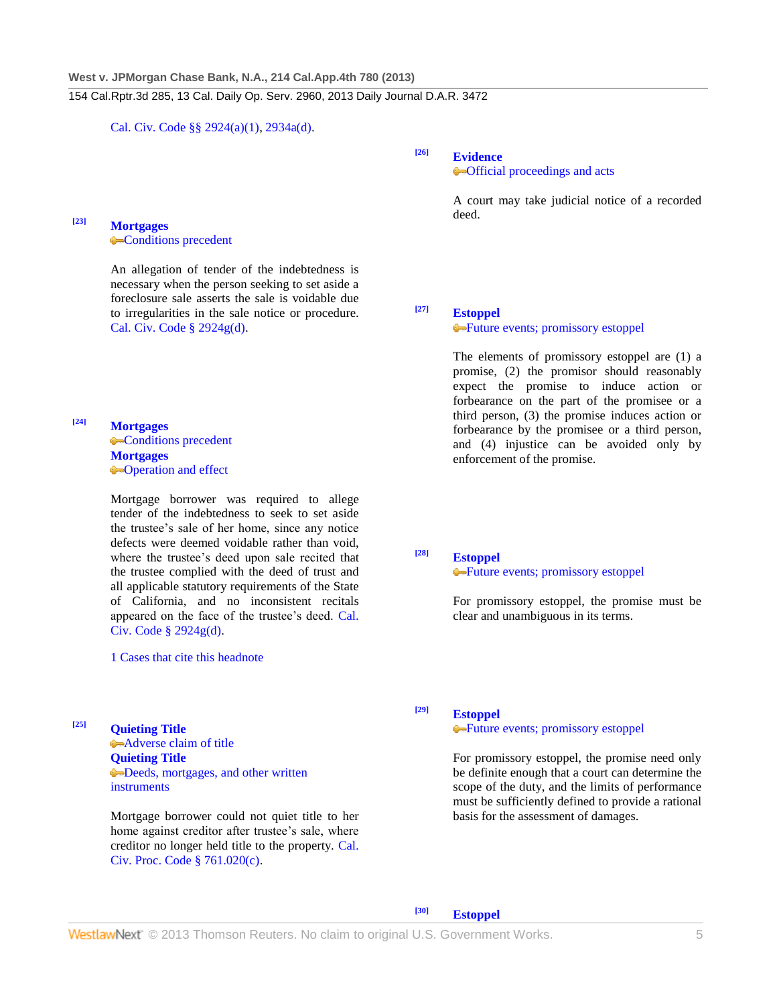#### [Cal. Civ. Code §§ 2924\(a\)\(1\),](http://www.westlaw.com/Link/Document/FullText?findType=L&pubNum=1000200&cite=CACIS2924&originatingDoc=Idf95addd905311e2981ea20c4f198a69&refType=SP&originationContext=document&vr=3.0&rs=cblt1.0&transitionType=DocumentItem&contextData=(sc.UserEnteredCitation)#co_pp_7b9b000044381) [2934a\(d\).](http://www.westlaw.com/Link/Document/FullText?findType=L&pubNum=1000200&cite=CACIS2934A&originatingDoc=Idf95addd905311e2981ea20c4f198a69&refType=SP&originationContext=document&vr=3.0&rs=cblt1.0&transitionType=DocumentItem&contextData=(sc.UserEnteredCitation)#co_pp_5ba1000067d06)

# **[23] [Mortgages](http://www.westlaw.com/Browse/Home/KeyNumber/266/View.html?docGuid=Idf95addd905311e2981ea20c4f198a69&originationContext=document&vr=3.0&rs=cblt1.0&transitionType=DocumentItem&contextData=(sc.UserEnteredCitation)) Conditions** precedent

An allegation of tender of the indebtedness is necessary when the person seeking to set aside a foreclosure sale asserts the sale is voidable due to irregularities in the sale notice or procedure. [Cal. Civ. Code § 2924g\(d\).](http://www.westlaw.com/Link/Document/FullText?findType=L&pubNum=1000200&cite=CACIS2924G&originatingDoc=Idf95addd905311e2981ea20c4f198a69&refType=SP&originationContext=document&vr=3.0&rs=cblt1.0&transitionType=DocumentItem&contextData=(sc.UserEnteredCitation)#co_pp_5ba1000067d06)

# **[24] [Mortgages](http://www.westlaw.com/Browse/Home/KeyNumber/266/View.html?docGuid=Idf95addd905311e2981ea20c4f198a69&originationContext=document&vr=3.0&rs=cblt1.0&transitionType=DocumentItem&contextData=(sc.UserEnteredCitation))**

**Conditions** precedent **[Mortgages](http://www.westlaw.com/Browse/Home/KeyNumber/266/View.html?docGuid=Idf95addd905311e2981ea20c4f198a69&originationContext=document&vr=3.0&rs=cblt1.0&transitionType=DocumentItem&contextData=(sc.UserEnteredCitation)) [Operation and effect](http://www.westlaw.com/Browse/Home/KeyNumber/266k378/View.html?docGuid=Idf95addd905311e2981ea20c4f198a69&originationContext=document&vr=3.0&rs=cblt1.0&transitionType=DocumentItem&contextData=(sc.UserEnteredCitation))** 

Mortgage borrower was required to allege tender of the indebtedness to seek to set aside the trustee's sale of her home, since any notice defects were deemed voidable rather than void, where the trustee's deed upon sale recited that the trustee complied with the deed of trust and all applicable statutory requirements of the State of California, and no inconsistent recitals appeared on the face of the trustee's deed. [Cal.](http://www.westlaw.com/Link/Document/FullText?findType=L&pubNum=1000200&cite=CACIS2924G&originatingDoc=Idf95addd905311e2981ea20c4f198a69&refType=SP&originationContext=document&vr=3.0&rs=cblt1.0&transitionType=DocumentItem&contextData=(sc.UserEnteredCitation)#co_pp_5ba1000067d06)  [Civ. Code § 2924g\(d\).](http://www.westlaw.com/Link/Document/FullText?findType=L&pubNum=1000200&cite=CACIS2924G&originatingDoc=Idf95addd905311e2981ea20c4f198a69&refType=SP&originationContext=document&vr=3.0&rs=cblt1.0&transitionType=DocumentItem&contextData=(sc.UserEnteredCitation)#co_pp_5ba1000067d06)

[1 Cases that cite this headnote](http://www.westlaw.com/Link/RelatedInformation/DocHeadnoteLink?docGuid=Idf95addd905311e2981ea20c4f198a69&headnoteId=203015784902420130522222708&originationContext=document&vr=3.0&rs=cblt1.0&transitionType=CitingReferences&contextData=(sc.UserEnteredCitation))

# **[25] [Quieting Title](http://www.westlaw.com/Browse/Home/KeyNumber/318/View.html?docGuid=Idf95addd905311e2981ea20c4f198a69&originationContext=document&vr=3.0&rs=cblt1.0&transitionType=DocumentItem&contextData=(sc.UserEnteredCitation))**

**[Adverse claim of title](http://www.westlaw.com/Browse/Home/KeyNumber/318k6/View.html?docGuid=Idf95addd905311e2981ea20c4f198a69&originationContext=document&vr=3.0&rs=cblt1.0&transitionType=DocumentItem&contextData=(sc.UserEnteredCitation)) [Quieting Title](http://www.westlaw.com/Browse/Home/KeyNumber/318/View.html?docGuid=Idf95addd905311e2981ea20c4f198a69&originationContext=document&vr=3.0&rs=cblt1.0&transitionType=DocumentItem&contextData=(sc.UserEnteredCitation))** [Deeds, mortgages, and other written](http://www.westlaw.com/Browse/Home/KeyNumber/318k7(2)/View.html?docGuid=Idf95addd905311e2981ea20c4f198a69&originationContext=document&vr=3.0&rs=cblt1.0&transitionType=DocumentItem&contextData=(sc.UserEnteredCitation))  [instruments](http://www.westlaw.com/Browse/Home/KeyNumber/318k7(2)/View.html?docGuid=Idf95addd905311e2981ea20c4f198a69&originationContext=document&vr=3.0&rs=cblt1.0&transitionType=DocumentItem&contextData=(sc.UserEnteredCitation))

Mortgage borrower could not quiet title to her home against creditor after trustee's sale, where creditor no longer held title to the property. [Cal.](http://www.westlaw.com/Link/Document/FullText?findType=L&pubNum=1000201&cite=CACPS761.020&originatingDoc=Idf95addd905311e2981ea20c4f198a69&refType=SP&originationContext=document&vr=3.0&rs=cblt1.0&transitionType=DocumentItem&contextData=(sc.UserEnteredCitation)#co_pp_4b24000003ba5)  [Civ. Proc. Code § 761.020\(c\).](http://www.westlaw.com/Link/Document/FullText?findType=L&pubNum=1000201&cite=CACPS761.020&originatingDoc=Idf95addd905311e2981ea20c4f198a69&refType=SP&originationContext=document&vr=3.0&rs=cblt1.0&transitionType=DocumentItem&contextData=(sc.UserEnteredCitation)#co_pp_4b24000003ba5)

# **[26] [Evidence](http://www.westlaw.com/Browse/Home/KeyNumber/157/View.html?docGuid=Idf95addd905311e2981ea20c4f198a69&originationContext=document&vr=3.0&rs=cblt1.0&transitionType=DocumentItem&contextData=(sc.UserEnteredCitation))**

#### Official [proceedings and acts](http://www.westlaw.com/Browse/Home/KeyNumber/157k48/View.html?docGuid=Idf95addd905311e2981ea20c4f198a69&originationContext=document&vr=3.0&rs=cblt1.0&transitionType=DocumentItem&contextData=(sc.UserEnteredCitation))

A court may take judicial notice of a recorded deed.

# **[27] [Estoppel](http://www.westlaw.com/Browse/Home/KeyNumber/156/View.html?docGuid=Idf95addd905311e2981ea20c4f198a69&originationContext=document&vr=3.0&rs=cblt1.0&transitionType=DocumentItem&contextData=(sc.UserEnteredCitation))**

#### [Future events; promissory estoppel](http://www.westlaw.com/Browse/Home/KeyNumber/156k85/View.html?docGuid=Idf95addd905311e2981ea20c4f198a69&originationContext=document&vr=3.0&rs=cblt1.0&transitionType=DocumentItem&contextData=(sc.UserEnteredCitation))

The elements of promissory estoppel are (1) a promise, (2) the promisor should reasonably expect the promise to induce action or forbearance on the part of the promisee or a third person, (3) the promise induces action or forbearance by the promisee or a third person, and (4) injustice can be avoided only by enforcement of the promise.

**[28] [Estoppel](http://www.westlaw.com/Browse/Home/KeyNumber/156/View.html?docGuid=Idf95addd905311e2981ea20c4f198a69&originationContext=document&vr=3.0&rs=cblt1.0&transitionType=DocumentItem&contextData=(sc.UserEnteredCitation))**

#### [Future events; promissory estoppel](http://www.westlaw.com/Browse/Home/KeyNumber/156k85/View.html?docGuid=Idf95addd905311e2981ea20c4f198a69&originationContext=document&vr=3.0&rs=cblt1.0&transitionType=DocumentItem&contextData=(sc.UserEnteredCitation))

For promissory estoppel, the promise must be clear and unambiguous in its terms.

# **[29] [Estoppel](http://www.westlaw.com/Browse/Home/KeyNumber/156/View.html?docGuid=Idf95addd905311e2981ea20c4f198a69&originationContext=document&vr=3.0&rs=cblt1.0&transitionType=DocumentItem&contextData=(sc.UserEnteredCitation))**

#### [Future events; promissory estoppel](http://www.westlaw.com/Browse/Home/KeyNumber/156k85/View.html?docGuid=Idf95addd905311e2981ea20c4f198a69&originationContext=document&vr=3.0&rs=cblt1.0&transitionType=DocumentItem&contextData=(sc.UserEnteredCitation))

For promissory estoppel, the promise need only be definite enough that a court can determine the scope of the duty, and the limits of performance must be sufficiently defined to provide a rational basis for the assessment of damages.

**[30] [Estoppel](http://www.westlaw.com/Browse/Home/KeyNumber/156/View.html?docGuid=Idf95addd905311e2981ea20c4f198a69&originationContext=document&vr=3.0&rs=cblt1.0&transitionType=DocumentItem&contextData=(sc.UserEnteredCitation))**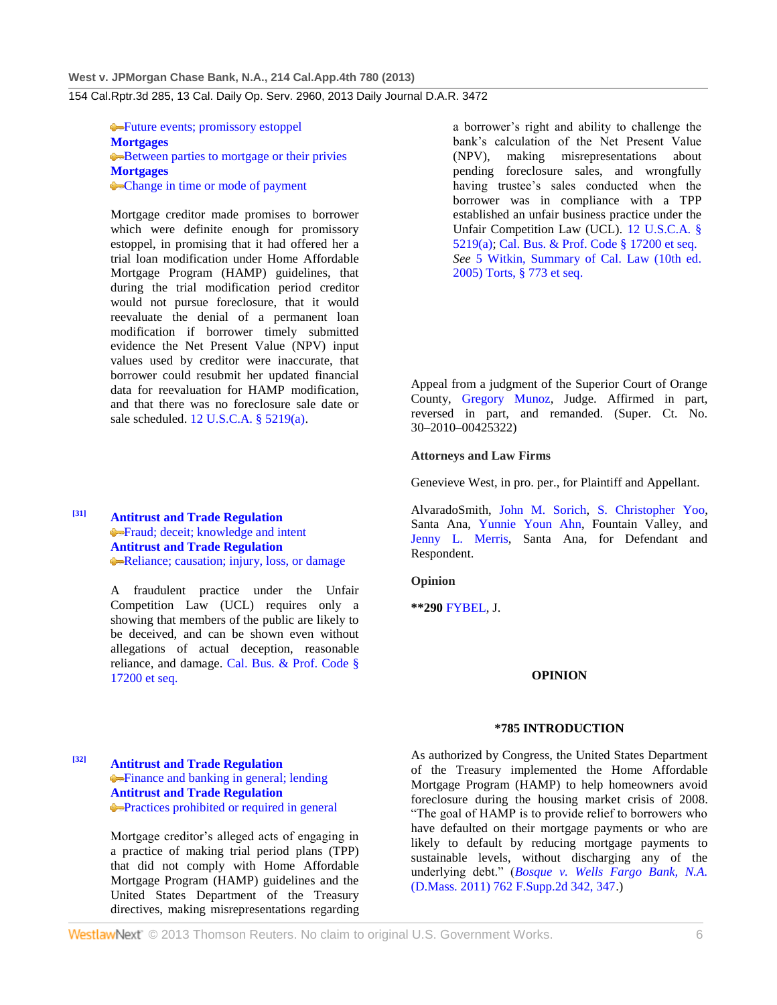[Future events; promissory estoppel](http://www.westlaw.com/Browse/Home/KeyNumber/156k85/View.html?docGuid=Idf95addd905311e2981ea20c4f198a69&originationContext=document&vr=3.0&rs=cblt1.0&transitionType=DocumentItem&contextData=(sc.UserEnteredCitation)) **[Mortgages](http://www.westlaw.com/Browse/Home/KeyNumber/266/View.html?docGuid=Idf95addd905311e2981ea20c4f198a69&originationContext=document&vr=3.0&rs=cblt1.0&transitionType=DocumentItem&contextData=(sc.UserEnteredCitation))** [Between parties to mortgage or their privies](http://www.westlaw.com/Browse/Home/KeyNumber/266k216/View.html?docGuid=Idf95addd905311e2981ea20c4f198a69&originationContext=document&vr=3.0&rs=cblt1.0&transitionType=DocumentItem&contextData=(sc.UserEnteredCitation)) **[Mortgages](http://www.westlaw.com/Browse/Home/KeyNumber/266/View.html?docGuid=Idf95addd905311e2981ea20c4f198a69&originationContext=document&vr=3.0&rs=cblt1.0&transitionType=DocumentItem&contextData=(sc.UserEnteredCitation))** [Change in time or mode of payment](http://www.westlaw.com/Browse/Home/KeyNumber/266k306/View.html?docGuid=Idf95addd905311e2981ea20c4f198a69&originationContext=document&vr=3.0&rs=cblt1.0&transitionType=DocumentItem&contextData=(sc.UserEnteredCitation))

Mortgage creditor made promises to borrower which were definite enough for promissory estoppel, in promising that it had offered her a trial loan modification under Home Affordable Mortgage Program (HAMP) guidelines, that during the trial modification period creditor would not pursue foreclosure, that it would reevaluate the denial of a permanent loan modification if borrower timely submitted evidence the Net Present Value (NPV) input values used by creditor were inaccurate, that borrower could resubmit her updated financial data for reevaluation for HAMP modification, and that there was no foreclosure sale date or sale scheduled. [12 U.S.C.A. § 5219\(a\).](http://www.westlaw.com/Link/Document/FullText?findType=L&pubNum=1000546&cite=12USCAS5219&originatingDoc=Idf95addd905311e2981ea20c4f198a69&refType=SP&originationContext=document&vr=3.0&rs=cblt1.0&transitionType=DocumentItem&contextData=(sc.UserEnteredCitation)#co_pp_8b3b0000958a4)

**[31] [Antitrust and Trade Regulation](http://www.westlaw.com/Browse/Home/KeyNumber/29T/View.html?docGuid=Idf95addd905311e2981ea20c4f198a69&originationContext=document&vr=3.0&rs=cblt1.0&transitionType=DocumentItem&contextData=(sc.UserEnteredCitation)) •**[Fraud; deceit; knowledge and intent](http://www.westlaw.com/Browse/Home/KeyNumber/29Tk136/View.html?docGuid=Idf95addd905311e2981ea20c4f198a69&originationContext=document&vr=3.0&rs=cblt1.0&transitionType=DocumentItem&contextData=(sc.UserEnteredCitation)) **[Antitrust and Trade Regulation](http://www.westlaw.com/Browse/Home/KeyNumber/29T/View.html?docGuid=Idf95addd905311e2981ea20c4f198a69&originationContext=document&vr=3.0&rs=cblt1.0&transitionType=DocumentItem&contextData=(sc.UserEnteredCitation))** [Reliance; causation; injury, loss, or damage](http://www.westlaw.com/Browse/Home/KeyNumber/29Tk138/View.html?docGuid=Idf95addd905311e2981ea20c4f198a69&originationContext=document&vr=3.0&rs=cblt1.0&transitionType=DocumentItem&contextData=(sc.UserEnteredCitation))

> A fraudulent practice under the Unfair Competition Law (UCL) requires only a showing that members of the public are likely to be deceived, and can be shown even without allegations of actual deception, reasonable reliance, and damage. [Cal. Bus. & Prof. Code §](http://www.westlaw.com/Link/Document/FullText?findType=L&pubNum=1000199&cite=CABPS17200&originatingDoc=Idf95addd905311e2981ea20c4f198a69&refType=LQ&originationContext=document&vr=3.0&rs=cblt1.0&transitionType=DocumentItem&contextData=(sc.UserEnteredCitation))  [17200 et seq.](http://www.westlaw.com/Link/Document/FullText?findType=L&pubNum=1000199&cite=CABPS17200&originatingDoc=Idf95addd905311e2981ea20c4f198a69&refType=LQ&originationContext=document&vr=3.0&rs=cblt1.0&transitionType=DocumentItem&contextData=(sc.UserEnteredCitation))

a borrower's right and ability to challenge the bank's calculation of the Net Present Value (NPV), making misrepresentations about pending foreclosure sales, and wrongfully having trustee's sales conducted when the borrower was in compliance with a TPP established an unfair business practice under the Unfair Competition Law (UCL). [12 U.S.C.A. §](http://www.westlaw.com/Link/Document/FullText?findType=L&pubNum=1000546&cite=12USCAS5219&originatingDoc=Idf95addd905311e2981ea20c4f198a69&refType=SP&originationContext=document&vr=3.0&rs=cblt1.0&transitionType=DocumentItem&contextData=(sc.UserEnteredCitation)#co_pp_8b3b0000958a4)  [5219\(a\);](http://www.westlaw.com/Link/Document/FullText?findType=L&pubNum=1000546&cite=12USCAS5219&originatingDoc=Idf95addd905311e2981ea20c4f198a69&refType=SP&originationContext=document&vr=3.0&rs=cblt1.0&transitionType=DocumentItem&contextData=(sc.UserEnteredCitation)#co_pp_8b3b0000958a4) [Cal. Bus. & Prof. Code § 17200 et seq.](http://www.westlaw.com/Link/Document/FullText?findType=L&pubNum=1000199&cite=CABPS17200&originatingDoc=Idf95addd905311e2981ea20c4f198a69&refType=LQ&originationContext=document&vr=3.0&rs=cblt1.0&transitionType=DocumentItem&contextData=(sc.UserEnteredCitation)) *See* [5 Witkin, Summary of Cal. Law \(10th ed.](http://www.westlaw.com/Link/Document/FullText?findType=Y&serNum=0305872913&pubNum=0155638&originationContext=document&vr=3.0&rs=cblt1.0&transitionType=DocumentItem&contextData=(sc.UserEnteredCitation))  [2005\) Torts, § 773 et seq.](http://www.westlaw.com/Link/Document/FullText?findType=Y&serNum=0305872913&pubNum=0155638&originationContext=document&vr=3.0&rs=cblt1.0&transitionType=DocumentItem&contextData=(sc.UserEnteredCitation))

Appeal from a judgment of the Superior Court of Orange County, [Gregory Munoz,](http://www.westlaw.com/Link/Document/FullText?findType=h&pubNum=176284&cite=0245418201&originatingDoc=Idf95addd905311e2981ea20c4f198a69&refType=RQ&originationContext=document&vr=3.0&rs=cblt1.0&transitionType=DocumentItem&contextData=(sc.UserEnteredCitation)) Judge. Affirmed in part, reversed in part, and remanded. (Super. Ct. No. 30–2010–00425322)

#### **Attorneys and Law Firms**

Genevieve West, in pro. per., for Plaintiff and Appellant.

AlvaradoSmith, [John M. Sorich,](http://www.westlaw.com/Link/Document/FullText?findType=h&pubNum=176284&cite=0112722901&originatingDoc=Idf95addd905311e2981ea20c4f198a69&refType=RQ&originationContext=document&vr=3.0&rs=cblt1.0&transitionType=DocumentItem&contextData=(sc.UserEnteredCitation)) [S. Christopher Yoo,](http://www.westlaw.com/Link/Document/FullText?findType=h&pubNum=176284&cite=0254365501&originatingDoc=Idf95addd905311e2981ea20c4f198a69&refType=RQ&originationContext=document&vr=3.0&rs=cblt1.0&transitionType=DocumentItem&contextData=(sc.UserEnteredCitation)) Santa Ana, [Yunnie Youn Ahn,](http://www.westlaw.com/Link/Document/FullText?findType=h&pubNum=176284&cite=0434031701&originatingDoc=Idf95addd905311e2981ea20c4f198a69&refType=RQ&originationContext=document&vr=3.0&rs=cblt1.0&transitionType=DocumentItem&contextData=(sc.UserEnteredCitation)) Fountain Valley, and [Jenny L. Merris,](http://www.westlaw.com/Link/Document/FullText?findType=h&pubNum=176284&cite=0423078901&originatingDoc=Idf95addd905311e2981ea20c4f198a69&refType=RQ&originationContext=document&vr=3.0&rs=cblt1.0&transitionType=DocumentItem&contextData=(sc.UserEnteredCitation)) Santa Ana, for Defendant and Respondent.

#### **Opinion**

**\*\*290** [FYBEL,](http://www.westlaw.com/Link/Document/FullText?findType=h&pubNum=176284&cite=0205099201&originatingDoc=Idf95addd905311e2981ea20c4f198a69&refType=RQ&originationContext=document&vr=3.0&rs=cblt1.0&transitionType=DocumentItem&contextData=(sc.UserEnteredCitation)) J.

#### **OPINION**

#### **\*785 INTRODUCTION**

As authorized by Congress, the United States Department of the Treasury implemented the Home Affordable Mortgage Program (HAMP) to help homeowners avoid foreclosure during the housing market crisis of 2008. "The goal of HAMP is to provide relief to borrowers who have defaulted on their mortgage payments or who are likely to default by reducing mortgage payments to sustainable levels, without discharging any of the underlying debt." (*[Bosque v. Wells Fargo Bank, N.A.](http://www.westlaw.com/Link/Document/FullText?findType=Y&serNum=2024511741&pubNum=0004637&originationContext=document&vr=3.0&rs=cblt1.0&transitionType=DocumentItem&contextData=(sc.UserEnteredCitation)#co_pp_sp_4637_347)* [\(D.Mass. 2011\) 762 F.Supp.2d 342, 347.](http://www.westlaw.com/Link/Document/FullText?findType=Y&serNum=2024511741&pubNum=0004637&originationContext=document&vr=3.0&rs=cblt1.0&transitionType=DocumentItem&contextData=(sc.UserEnteredCitation)#co_pp_sp_4637_347))

# **[32] [Antitrust and Trade Regulation](http://www.westlaw.com/Browse/Home/KeyNumber/29T/View.html?docGuid=Idf95addd905311e2981ea20c4f198a69&originationContext=document&vr=3.0&rs=cblt1.0&transitionType=DocumentItem&contextData=(sc.UserEnteredCitation))**

[Finance and banking in general; lending](http://www.westlaw.com/Browse/Home/KeyNumber/29Tk209/View.html?docGuid=Idf95addd905311e2981ea20c4f198a69&originationContext=document&vr=3.0&rs=cblt1.0&transitionType=DocumentItem&contextData=(sc.UserEnteredCitation)) **[Antitrust and Trade Regulation](http://www.westlaw.com/Browse/Home/KeyNumber/29T/View.html?docGuid=Idf95addd905311e2981ea20c4f198a69&originationContext=document&vr=3.0&rs=cblt1.0&transitionType=DocumentItem&contextData=(sc.UserEnteredCitation))** [Practices prohibited or required in general](http://www.westlaw.com/Browse/Home/KeyNumber/29Tk213/View.html?docGuid=Idf95addd905311e2981ea20c4f198a69&originationContext=document&vr=3.0&rs=cblt1.0&transitionType=DocumentItem&contextData=(sc.UserEnteredCitation))

Mortgage creditor's alleged acts of engaging in a practice of making trial period plans (TPP) that did not comply with Home Affordable Mortgage Program (HAMP) guidelines and the United States Department of the Treasury directives, making misrepresentations regarding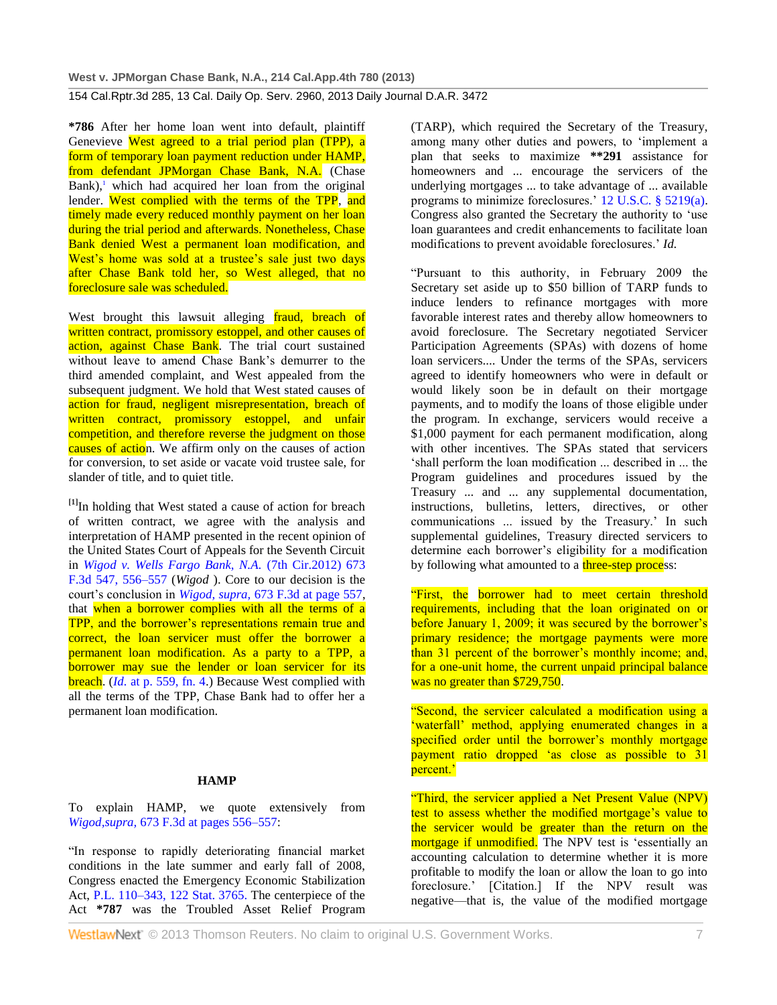**\*786** After her home loan went into default, plaintiff Genevieve West agreed to a trial period plan (TPP), a form of temporary loan payment reduction under HAMP, from defendant JPMorgan Chase Bank, N.A. (Chase Bank), $\frac{1}{2}$  which had acquired her loan from the original lender. West complied with the terms of the TPP, and timely made every reduced monthly payment on her loan during the trial period and afterwards. Nonetheless, Chase Bank denied West a permanent loan modification, and West's home was sold at a trustee's sale just two days after Chase Bank told her, so West alleged, that no foreclosure sale was scheduled.

West brought this lawsuit alleging fraud, breach of written contract, promissory estoppel, and other causes of action, against Chase Bank. The trial court sustained without leave to amend Chase Bank's demurrer to the third amended complaint, and West appealed from the subsequent judgment. We hold that West stated causes of action for fraud, negligent misrepresentation, breach of written contract, promissory estoppel, and unfair competition, and therefore reverse the judgment on those causes of action. We affirm only on the causes of action for conversion, to set aside or vacate void trustee sale, for slander of title, and to quiet title.

**[1]**In holding that West stated a cause of action for breach of written contract, we agree with the analysis and interpretation of HAMP presented in the recent opinion of the United States Court of Appeals for the Seventh Circuit in *[Wigod v. Wells Fargo Bank, N.A.](http://www.westlaw.com/Link/Document/FullText?findType=Y&serNum=2027271756&pubNum=0000506&originationContext=document&vr=3.0&rs=cblt1.0&transitionType=DocumentItem&contextData=(sc.UserEnteredCitation)#co_pp_sp_506_556)* (7th Cir.2012) 673 [F.3d 547, 556–557](http://www.westlaw.com/Link/Document/FullText?findType=Y&serNum=2027271756&pubNum=0000506&originationContext=document&vr=3.0&rs=cblt1.0&transitionType=DocumentItem&contextData=(sc.UserEnteredCitation)#co_pp_sp_506_556) (*Wigod* ). Core to our decision is the court's conclusion in *Wigod, supra,* [673 F.3d at page 557,](http://www.westlaw.com/Link/Document/FullText?findType=Y&serNum=2027271756&pubNum=0000506&originationContext=document&vr=3.0&rs=cblt1.0&transitionType=DocumentItem&contextData=(sc.UserEnteredCitation)#co_pp_sp_506_557) that when a borrower complies with all the terms of a TPP, and the borrower's representations remain true and correct, the loan servicer must offer the borrower a permanent loan modification. As a party to a TPP, a borrower may sue the lender or loan servicer for its breach. (*Id.* [at p. 559, fn. 4.](http://www.westlaw.com/Link/Document/FullText?findType=Y&serNum=2027271756&pubNum=0000506&originationContext=document&vr=3.0&rs=cblt1.0&transitionType=DocumentItem&contextData=(sc.UserEnteredCitation)#co_pp_sp_506_559)) Because West complied with all the terms of the TPP, Chase Bank had to offer her a permanent loan modification.

#### **HAMP**

To explain HAMP, we quote extensively from *Wigod,supra,* [673 F.3d at pages 556–557:](http://www.westlaw.com/Link/Document/FullText?findType=Y&serNum=2027271756&pubNum=0000506&originationContext=document&vr=3.0&rs=cblt1.0&transitionType=DocumentItem&contextData=(sc.UserEnteredCitation)#co_pp_sp_506_556)

"In response to rapidly deteriorating financial market conditions in the late summer and early fall of 2008, Congress enacted the Emergency Economic Stabilization Act, [P.L. 110–343, 122 Stat. 3765.](http://www.westlaw.com/Link/Document/FullText?findType=l&pubNum=1077005&cite=UUID(IB89DAD7093-C311DD9493C-24B253780BC)&originationContext=document&vr=3.0&rs=cblt1.0&transitionType=DocumentItem&contextData=(sc.UserEnteredCitation)) The centerpiece of the Act **\*787** was the Troubled Asset Relief Program (TARP), which required the Secretary of the Treasury, among many other duties and powers, to 'implement a plan that seeks to maximize **\*\*291** assistance for homeowners and ... encourage the servicers of the underlying mortgages ... to take advantage of ... available programs to minimize foreclosures.' [12 U.S.C. § 5219\(a\).](http://www.westlaw.com/Link/Document/FullText?findType=L&pubNum=1000546&cite=12USCAS5219&originatingDoc=Idf95addd905311e2981ea20c4f198a69&refType=SP&originationContext=document&vr=3.0&rs=cblt1.0&transitionType=DocumentItem&contextData=(sc.UserEnteredCitation)#co_pp_8b3b0000958a4) Congress also granted the Secretary the authority to 'use loan guarantees and credit enhancements to facilitate loan modifications to prevent avoidable foreclosures.' *Id.*

"Pursuant to this authority, in February 2009 the Secretary set aside up to \$50 billion of TARP funds to induce lenders to refinance mortgages with more favorable interest rates and thereby allow homeowners to avoid foreclosure. The Secretary negotiated Servicer Participation Agreements (SPAs) with dozens of home loan servicers.... Under the terms of the SPAs, servicers agreed to identify homeowners who were in default or would likely soon be in default on their mortgage payments, and to modify the loans of those eligible under the program. In exchange, servicers would receive a \$1,000 payment for each permanent modification, along with other incentives. The SPAs stated that servicers 'shall perform the loan modification ... described in ... the Program guidelines and procedures issued by the Treasury ... and ... any supplemental documentation, instructions, bulletins, letters, directives, or other communications ... issued by the Treasury.' In such supplemental guidelines, Treasury directed servicers to determine each borrower's eligibility for a modification by following what amounted to a three-step process:

"First, the borrower had to meet certain threshold requirements, including that the loan originated on or before January 1, 2009; it was secured by the borrower's primary residence; the mortgage payments were more than 31 percent of the borrower's monthly income; and, for a one-unit home, the current unpaid principal balance was no greater than \$729,750.

"Second, the servicer calculated a modification using a 'waterfall' method, applying enumerated changes in a specified order until the borrower's monthly mortgage payment ratio dropped 'as close as possible to 31 percent.'

"Third, the servicer applied a Net Present Value (NPV) test to assess whether the modified mortgage's value to the servicer would be greater than the return on the mortgage if unmodified. The NPV test is 'essentially an accounting calculation to determine whether it is more profitable to modify the loan or allow the loan to go into foreclosure.' [Citation.] If the NPV result was negative—that is, the value of the modified mortgage

WestlawNext<sup>®</sup> © 2013 Thomson Reuters. No claim to original U.S. Government Works. 7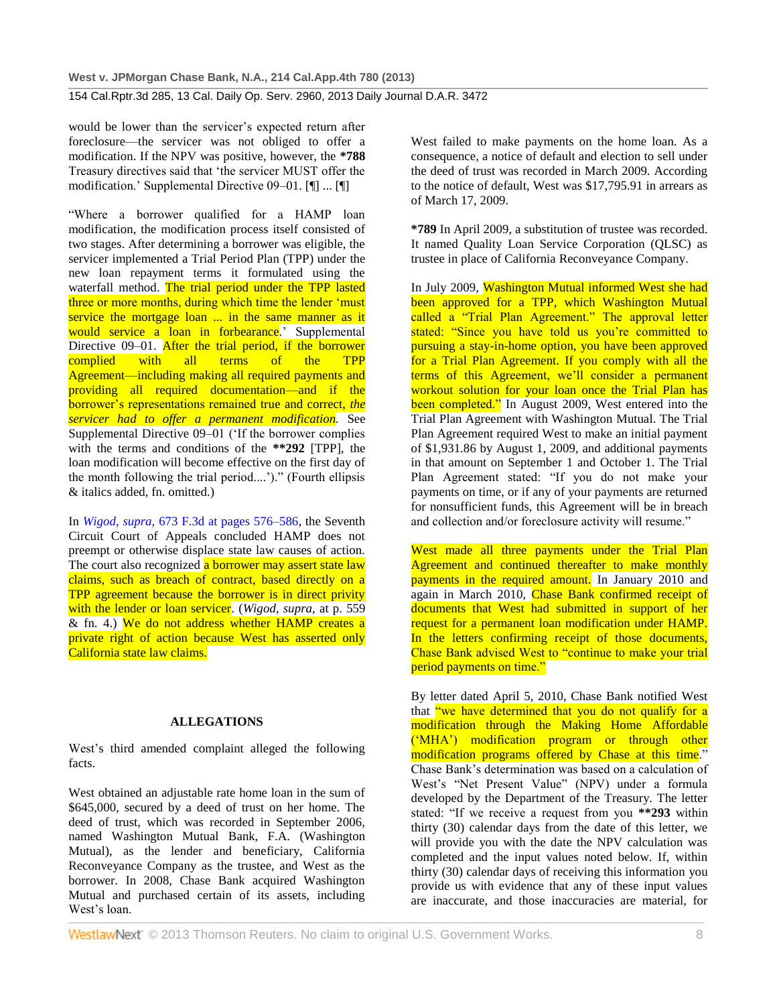would be lower than the servicer's expected return after foreclosure—the servicer was not obliged to offer a modification. If the NPV was positive, however, the **\*788** Treasury directives said that 'the servicer MUST offer the modification.' Supplemental Directive 09–01. [¶] ... [¶]

"Where a borrower qualified for a HAMP loan modification, the modification process itself consisted of two stages. After determining a borrower was eligible, the servicer implemented a Trial Period Plan (TPP) under the new loan repayment terms it formulated using the waterfall method. The trial period under the TPP lasted three or more months, during which time the lender 'must service the mortgage loan ... in the same manner as it would service a loan in forbearance. Supplemental Directive 09–01. After the trial period, if the borrower complied with all terms of the TPP Agreement—including making all required payments and providing all required documentation—and if the borrower's representations remained true and correct, *the servicer had to offer a permanent modification.* See Supplemental Directive 09–01 ('If the borrower complies with the terms and conditions of the **\*\*292** [TPP], the loan modification will become effective on the first day of the month following the trial period....')." (Fourth ellipsis & italics added, fn. omitted.)

In *Wigod, supra,* [673 F.3d at pages 576–586,](http://www.westlaw.com/Link/Document/FullText?findType=Y&serNum=2027271756&pubNum=0000506&originationContext=document&vr=3.0&rs=cblt1.0&transitionType=DocumentItem&contextData=(sc.UserEnteredCitation)#co_pp_sp_506_576) the Seventh Circuit Court of Appeals concluded HAMP does not preempt or otherwise displace state law causes of action. The court also recognized a borrower may assert state law claims, such as breach of contract, based directly on a TPP agreement because the borrower is in direct privity with the lender or loan servicer. (*Wigod, supra,* at p. 559  $\&$  fn. 4.) We do not address whether HAMP creates a private right of action because West has asserted only California state law claims.

#### **ALLEGATIONS**

West's third amended complaint alleged the following facts.

West obtained an adjustable rate home loan in the sum of \$645,000, secured by a deed of trust on her home. The deed of trust, which was recorded in September 2006, named Washington Mutual Bank, F.A. (Washington Mutual), as the lender and beneficiary, California Reconveyance Company as the trustee, and West as the borrower. In 2008, Chase Bank acquired Washington Mutual and purchased certain of its assets, including West's loan.

West failed to make payments on the home loan. As a consequence, a notice of default and election to sell under the deed of trust was recorded in March 2009. According to the notice of default, West was \$17,795.91 in arrears as of March 17, 2009.

**\*789** In April 2009, a substitution of trustee was recorded. It named Quality Loan Service Corporation (QLSC) as trustee in place of California Reconveyance Company.

In July 2009, Washington Mutual informed West she had been approved for a TPP, which Washington Mutual called a "Trial Plan Agreement." The approval letter stated: "Since you have told us you're committed to pursuing a stay-in-home option, you have been approved for a Trial Plan Agreement. If you comply with all the terms of this Agreement, we'll consider a permanent workout solution for your loan once the Trial Plan has been completed." In August 2009, West entered into the Trial Plan Agreement with Washington Mutual. The Trial Plan Agreement required West to make an initial payment of \$1,931.86 by August 1, 2009, and additional payments in that amount on September 1 and October 1. The Trial Plan Agreement stated: "If you do not make your payments on time, or if any of your payments are returned for nonsufficient funds, this Agreement will be in breach and collection and/or foreclosure activity will resume."

West made all three payments under the Trial Plan Agreement and continued thereafter to make monthly payments in the required amount. In January 2010 and again in March 2010, Chase Bank confirmed receipt of documents that West had submitted in support of her request for a permanent loan modification under HAMP. In the letters confirming receipt of those documents, Chase Bank advised West to "continue to make your trial period payments on time."

By letter dated April 5, 2010, Chase Bank notified West that "we have determined that you do not qualify for a modification through the Making Home Affordable ('MHA') modification program or through other modification programs offered by Chase at this time." Chase Bank's determination was based on a calculation of West's "Net Present Value" (NPV) under a formula developed by the Department of the Treasury. The letter stated: "If we receive a request from you **\*\*293** within thirty (30) calendar days from the date of this letter, we will provide you with the date the NPV calculation was completed and the input values noted below. If, within thirty (30) calendar days of receiving this information you provide us with evidence that any of these input values are inaccurate, and those inaccuracies are material, for

**WestlawNext** © 2013 Thomson Reuters. No claim to original U.S. Government Works. 68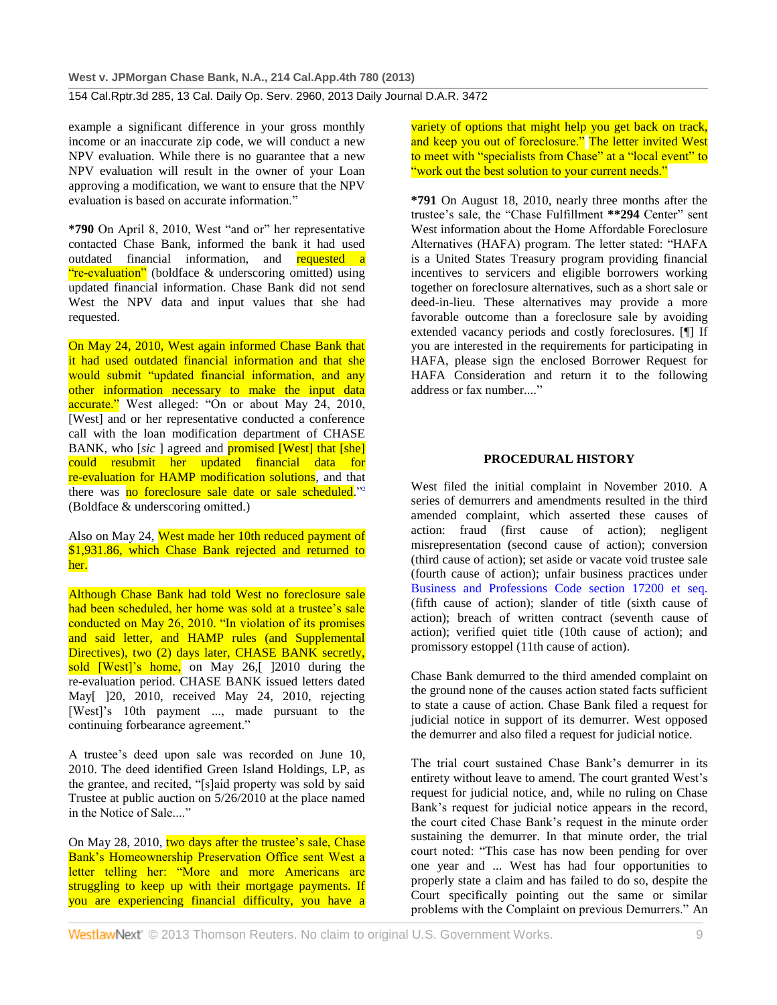example a significant difference in your gross monthly income or an inaccurate zip code, we will conduct a new NPV evaluation. While there is no guarantee that a new NPV evaluation will result in the owner of your Loan approving a modification, we want to ensure that the NPV evaluation is based on accurate information."

**\*790** On April 8, 2010, West "and or" her representative contacted Chase Bank, informed the bank it had used outdated financial information, and requested a "re-evaluation" (boldface & underscoring omitted) using updated financial information. Chase Bank did not send West the NPV data and input values that she had requested.

On May 24, 2010, West again informed Chase Bank that it had used outdated financial information and that she would submit "updated financial information, and any other information necessary to make the input data accurate." West alleged: "On or about May 24, 2010, [West] and or her representative conducted a conference call with the loan modification department of CHASE BANK, who [*sic* ] agreed and **promised** [West] that [she] could resubmit her updated financial data for re-evaluation for HAMP modification solutions, and that there was no foreclosure sale date or sale scheduled."<sup>2</sup> (Boldface & underscoring omitted.)

Also on May 24, West made her 10th reduced payment of \$1,931.86, which Chase Bank rejected and returned to her.

Although Chase Bank had told West no foreclosure sale had been scheduled, her home was sold at a trustee's sale conducted on May 26, 2010. "In violation of its promises and said letter, and HAMP rules (and Supplemental Directives), two (2) days later, CHASE BANK secretly, sold [West]'s home, on May 26, [12010 during the re-evaluation period. CHASE BANK issued letters dated May[ ]20, 2010, received May 24, 2010, rejecting [West]'s 10th payment ..., made pursuant to the continuing forbearance agreement."

A trustee's deed upon sale was recorded on June 10, 2010. The deed identified Green Island Holdings, LP, as the grantee, and recited, "[s]aid property was sold by said Trustee at public auction on 5/26/2010 at the place named in the Notice of Sale...."

On May 28, 2010, two days after the trustee's sale, Chase Bank's Homeownership Preservation Office sent West a letter telling her: "More and more Americans are struggling to keep up with their mortgage payments. If you are experiencing financial difficulty, you have a variety of options that might help you get back on track, and keep you out of foreclosure." The letter invited West to meet with "specialists from Chase" at a "local event" to "work out the best solution to your current needs."

**\*791** On August 18, 2010, nearly three months after the trustee's sale, the "Chase Fulfillment **\*\*294** Center" sent West information about the Home Affordable Foreclosure Alternatives (HAFA) program. The letter stated: "HAFA is a United States Treasury program providing financial incentives to servicers and eligible borrowers working together on foreclosure alternatives, such as a short sale or deed-in-lieu. These alternatives may provide a more favorable outcome than a foreclosure sale by avoiding extended vacancy periods and costly foreclosures. [¶] If you are interested in the requirements for participating in HAFA, please sign the enclosed Borrower Request for HAFA Consideration and return it to the following address or fax number...."

#### **PROCEDURAL HISTORY**

West filed the initial complaint in November 2010. A series of demurrers and amendments resulted in the third amended complaint, which asserted these causes of action: fraud (first cause of action); negligent misrepresentation (second cause of action); conversion (third cause of action); set aside or vacate void trustee sale (fourth cause of action); unfair business practices under [Business and Professions Code section 17200 et seq.](http://www.westlaw.com/Link/Document/FullText?findType=L&pubNum=1000199&cite=CABPS17200&originatingDoc=Idf95addd905311e2981ea20c4f198a69&refType=LQ&originationContext=document&vr=3.0&rs=cblt1.0&transitionType=DocumentItem&contextData=(sc.UserEnteredCitation)) (fifth cause of action); slander of title (sixth cause of action); breach of written contract (seventh cause of action); verified quiet title (10th cause of action); and promissory estoppel (11th cause of action).

Chase Bank demurred to the third amended complaint on the ground none of the causes action stated facts sufficient to state a cause of action. Chase Bank filed a request for judicial notice in support of its demurrer. West opposed the demurrer and also filed a request for judicial notice.

The trial court sustained Chase Bank's demurrer in its entirety without leave to amend. The court granted West's request for judicial notice, and, while no ruling on Chase Bank's request for judicial notice appears in the record, the court cited Chase Bank's request in the minute order sustaining the demurrer. In that minute order, the trial court noted: "This case has now been pending for over one year and ... West has had four opportunities to properly state a claim and has failed to do so, despite the Court specifically pointing out the same or similar problems with the Complaint on previous Demurrers." An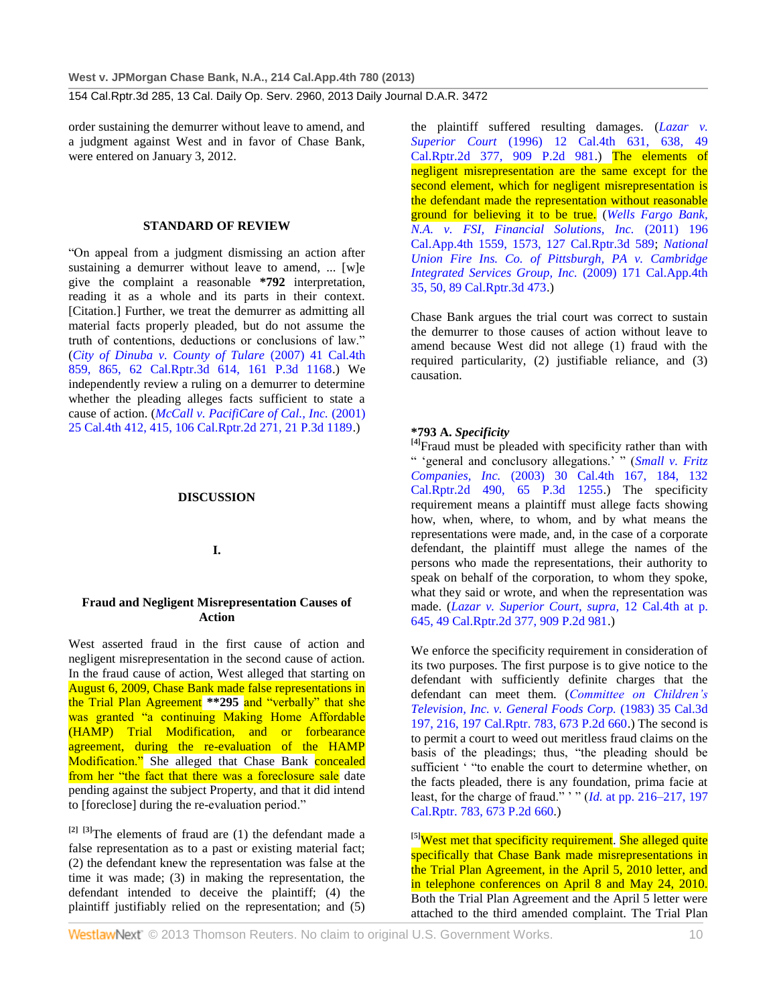order sustaining the demurrer without leave to amend, and a judgment against West and in favor of Chase Bank, were entered on January 3, 2012.

#### **STANDARD OF REVIEW**

"On appeal from a judgment dismissing an action after sustaining a demurrer without leave to amend, ... [w]e give the complaint a reasonable **\*792** interpretation, reading it as a whole and its parts in their context. [Citation.] Further, we treat the demurrer as admitting all material facts properly pleaded, but do not assume the truth of contentions, deductions or conclusions of law." (*[City of Dinuba v. County of Tulare](http://www.westlaw.com/Link/Document/FullText?findType=Y&serNum=2012734170&pubNum=0004645&originationContext=document&vr=3.0&rs=cblt1.0&transitionType=DocumentItem&contextData=(sc.UserEnteredCitation))* (2007) 41 Cal.4th [859, 865, 62 Cal.Rptr.3d 614, 161 P.3d 1168.](http://www.westlaw.com/Link/Document/FullText?findType=Y&serNum=2012734170&pubNum=0004645&originationContext=document&vr=3.0&rs=cblt1.0&transitionType=DocumentItem&contextData=(sc.UserEnteredCitation))) We independently review a ruling on a demurrer to determine whether the pleading alleges facts sufficient to state a cause of action. (*[McCall v. PacifiCare of Cal., Inc.](http://www.westlaw.com/Link/Document/FullText?findType=Y&serNum=2001376154&pubNum=0004645&originationContext=document&vr=3.0&rs=cblt1.0&transitionType=DocumentItem&contextData=(sc.UserEnteredCitation))* (2001) [25 Cal.4th 412, 415, 106 Cal.Rptr.2d 271, 21 P.3d 1189.](http://www.westlaw.com/Link/Document/FullText?findType=Y&serNum=2001376154&pubNum=0004645&originationContext=document&vr=3.0&rs=cblt1.0&transitionType=DocumentItem&contextData=(sc.UserEnteredCitation)))

#### **DISCUSSION**

#### **I.**

#### **Fraud and Negligent Misrepresentation Causes of Action**

West asserted fraud in the first cause of action and negligent misrepresentation in the second cause of action. In the fraud cause of action, West alleged that starting on August 6, 2009, Chase Bank made false representations in the Trial Plan Agreement **\*\*295** and "verbally" that she was granted "a continuing Making Home Affordable (HAMP) Trial Modification, and or forbearance agreement, during the re-evaluation of the HAMP Modification." She alleged that Chase Bank concealed from her "the fact that there was a foreclosure sale date pending against the subject Property, and that it did intend to [foreclose] during the re-evaluation period."

**[2] [3]**The elements of fraud are (1) the defendant made a false representation as to a past or existing material fact; (2) the defendant knew the representation was false at the time it was made; (3) in making the representation, the defendant intended to deceive the plaintiff; (4) the plaintiff justifiably relied on the representation; and (5) the plaintiff suffered resulting damages. (*[Lazar v.](http://www.westlaw.com/Link/Document/FullText?findType=Y&serNum=1996039556&pubNum=0000661&originationContext=document&vr=3.0&rs=cblt1.0&transitionType=DocumentItem&contextData=(sc.UserEnteredCitation))  Superior Court* [\(1996\) 12 Cal.4th 631, 638, 49](http://www.westlaw.com/Link/Document/FullText?findType=Y&serNum=1996039556&pubNum=0000661&originationContext=document&vr=3.0&rs=cblt1.0&transitionType=DocumentItem&contextData=(sc.UserEnteredCitation))  [Cal.Rptr.2d 377, 909 P.2d 981.](http://www.westlaw.com/Link/Document/FullText?findType=Y&serNum=1996039556&pubNum=0000661&originationContext=document&vr=3.0&rs=cblt1.0&transitionType=DocumentItem&contextData=(sc.UserEnteredCitation))) The elements of negligent misrepresentation are the same except for the second element, which for negligent misrepresentation is the defendant made the representation without reasonable ground for believing it to be true. (*[Wells Fargo Bank,](http://www.westlaw.com/Link/Document/FullText?findType=Y&serNum=2025577954&pubNum=0007047&originationContext=document&vr=3.0&rs=cblt1.0&transitionType=DocumentItem&contextData=(sc.UserEnteredCitation))  [N.A. v. FSI, Financial Solutions, Inc.](http://www.westlaw.com/Link/Document/FullText?findType=Y&serNum=2025577954&pubNum=0007047&originationContext=document&vr=3.0&rs=cblt1.0&transitionType=DocumentItem&contextData=(sc.UserEnteredCitation))* (2011) 196 [Cal.App.4th 1559, 1573, 127 Cal.Rptr.3d 589;](http://www.westlaw.com/Link/Document/FullText?findType=Y&serNum=2025577954&pubNum=0007047&originationContext=document&vr=3.0&rs=cblt1.0&transitionType=DocumentItem&contextData=(sc.UserEnteredCitation)) *[National](http://www.westlaw.com/Link/Document/FullText?findType=Y&serNum=2018121365&pubNum=0007047&originationContext=document&vr=3.0&rs=cblt1.0&transitionType=DocumentItem&contextData=(sc.UserEnteredCitation))  [Union Fire Ins. Co. of Pittsburgh, PA v. Cambridge](http://www.westlaw.com/Link/Document/FullText?findType=Y&serNum=2018121365&pubNum=0007047&originationContext=document&vr=3.0&rs=cblt1.0&transitionType=DocumentItem&contextData=(sc.UserEnteredCitation))  [Integrated Services Group, Inc.](http://www.westlaw.com/Link/Document/FullText?findType=Y&serNum=2018121365&pubNum=0007047&originationContext=document&vr=3.0&rs=cblt1.0&transitionType=DocumentItem&contextData=(sc.UserEnteredCitation))* (2009) 171 Cal.App.4th [35, 50, 89 Cal.Rptr.3d 473.](http://www.westlaw.com/Link/Document/FullText?findType=Y&serNum=2018121365&pubNum=0007047&originationContext=document&vr=3.0&rs=cblt1.0&transitionType=DocumentItem&contextData=(sc.UserEnteredCitation)))

Chase Bank argues the trial court was correct to sustain the demurrer to those causes of action without leave to amend because West did not allege (1) fraud with the required particularity, (2) justifiable reliance, and (3) causation.

#### **\*793 A.** *Specificity*

**[4]**Fraud must be pleaded with specificity rather than with " 'general and conclusory allegations.' " (*[Small v. Fritz](http://www.westlaw.com/Link/Document/FullText?findType=Y&serNum=2003270423&pubNum=0004645&originationContext=document&vr=3.0&rs=cblt1.0&transitionType=DocumentItem&contextData=(sc.UserEnteredCitation))  Companies, Inc.* [\(2003\) 30 Cal.4th 167, 184, 132](http://www.westlaw.com/Link/Document/FullText?findType=Y&serNum=2003270423&pubNum=0004645&originationContext=document&vr=3.0&rs=cblt1.0&transitionType=DocumentItem&contextData=(sc.UserEnteredCitation))  [Cal.Rptr.2d 490, 65 P.3d 1255.](http://www.westlaw.com/Link/Document/FullText?findType=Y&serNum=2003270423&pubNum=0004645&originationContext=document&vr=3.0&rs=cblt1.0&transitionType=DocumentItem&contextData=(sc.UserEnteredCitation))) The specificity requirement means a plaintiff must allege facts showing how, when, where, to whom, and by what means the representations were made, and, in the case of a corporate defendant, the plaintiff must allege the names of the persons who made the representations, their authority to speak on behalf of the corporation, to whom they spoke, what they said or wrote, and when the representation was made. (*[Lazar v. Superior Court, supra,](http://www.westlaw.com/Link/Document/FullText?findType=Y&serNum=1996039556&pubNum=0000661&originationContext=document&vr=3.0&rs=cblt1.0&transitionType=DocumentItem&contextData=(sc.UserEnteredCitation))* 12 Cal.4th at p. [645, 49 Cal.Rptr.2d 377, 909 P.2d 981.](http://www.westlaw.com/Link/Document/FullText?findType=Y&serNum=1996039556&pubNum=0000661&originationContext=document&vr=3.0&rs=cblt1.0&transitionType=DocumentItem&contextData=(sc.UserEnteredCitation)))

We enforce the specificity requirement in consideration of its two purposes. The first purpose is to give notice to the defendant with sufficiently definite charges that the defendant can meet them. (*[Committee on Children's](http://www.westlaw.com/Link/Document/FullText?findType=Y&serNum=1983158038&pubNum=0000661&originationContext=document&vr=3.0&rs=cblt1.0&transitionType=DocumentItem&contextData=(sc.UserEnteredCitation))  [Television, Inc. v. General Foods Corp.](http://www.westlaw.com/Link/Document/FullText?findType=Y&serNum=1983158038&pubNum=0000661&originationContext=document&vr=3.0&rs=cblt1.0&transitionType=DocumentItem&contextData=(sc.UserEnteredCitation))* (1983) 35 Cal.3d [197, 216, 197 Cal.Rptr. 783, 673 P.2d 660.](http://www.westlaw.com/Link/Document/FullText?findType=Y&serNum=1983158038&pubNum=0000661&originationContext=document&vr=3.0&rs=cblt1.0&transitionType=DocumentItem&contextData=(sc.UserEnteredCitation))) The second is to permit a court to weed out meritless fraud claims on the basis of the pleadings; thus, "the pleading should be sufficient ' "to enable the court to determine whether, on the facts pleaded, there is any foundation, prima facie at least, for the charge of fraud." ' " (*Id.* [at pp. 216–217, 197](http://www.westlaw.com/Link/Document/FullText?findType=Y&serNum=1983158038&pubNum=0000661&originationContext=document&vr=3.0&rs=cblt1.0&transitionType=DocumentItem&contextData=(sc.UserEnteredCitation))  [Cal.Rptr. 783, 673 P.2d 660.](http://www.westlaw.com/Link/Document/FullText?findType=Y&serNum=1983158038&pubNum=0000661&originationContext=document&vr=3.0&rs=cblt1.0&transitionType=DocumentItem&contextData=(sc.UserEnteredCitation)))

**[5]**West met that specificity requirement. She alleged quite specifically that Chase Bank made misrepresentations in the Trial Plan Agreement, in the April 5, 2010 letter, and in telephone conferences on April 8 and May 24, 2010. Both the Trial Plan Agreement and the April 5 letter were attached to the third amended complaint. The Trial Plan

WestlawNext © 2013 Thomson Reuters. No claim to original U.S. Government Works. 10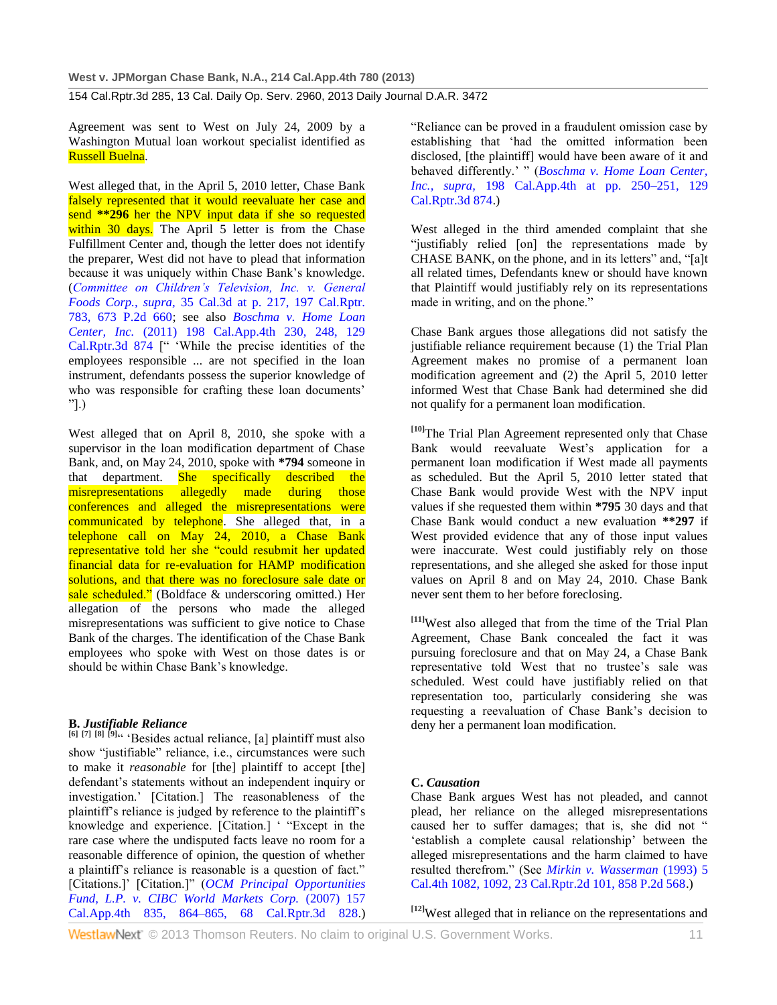Agreement was sent to West on July 24, 2009 by a Washington Mutual loan workout specialist identified as Russell Buelna.

West alleged that, in the April 5, 2010 letter, Chase Bank falsely represented that it would reevaluate her case and send **\*\*296** her the NPV input data if she so requested within 30 days. The April 5 letter is from the Chase Fulfillment Center and, though the letter does not identify the preparer, West did not have to plead that information because it was uniquely within Chase Bank's knowledge. (*[Committee on Children's Television, Inc. v. General](http://www.westlaw.com/Link/Document/FullText?findType=Y&serNum=1983158038&pubNum=0000661&originationContext=document&vr=3.0&rs=cblt1.0&transitionType=DocumentItem&contextData=(sc.UserEnteredCitation))  Foods Corp., supra,* [35 Cal.3d at p. 217, 197 Cal.Rptr.](http://www.westlaw.com/Link/Document/FullText?findType=Y&serNum=1983158038&pubNum=0000661&originationContext=document&vr=3.0&rs=cblt1.0&transitionType=DocumentItem&contextData=(sc.UserEnteredCitation))  [783, 673 P.2d 660;](http://www.westlaw.com/Link/Document/FullText?findType=Y&serNum=1983158038&pubNum=0000661&originationContext=document&vr=3.0&rs=cblt1.0&transitionType=DocumentItem&contextData=(sc.UserEnteredCitation)) see also *[Boschma v. Home Loan](http://www.westlaw.com/Link/Document/FullText?findType=Y&serNum=2025845581&pubNum=0007047&originationContext=document&vr=3.0&rs=cblt1.0&transitionType=DocumentItem&contextData=(sc.UserEnteredCitation))  Center, Inc.* [\(2011\) 198 Cal.App.4th 230, 248, 129](http://www.westlaw.com/Link/Document/FullText?findType=Y&serNum=2025845581&pubNum=0007047&originationContext=document&vr=3.0&rs=cblt1.0&transitionType=DocumentItem&contextData=(sc.UserEnteredCitation))  [Cal.Rptr.3d 874](http://www.westlaw.com/Link/Document/FullText?findType=Y&serNum=2025845581&pubNum=0007047&originationContext=document&vr=3.0&rs=cblt1.0&transitionType=DocumentItem&contextData=(sc.UserEnteredCitation)) [" 'While the precise identities of the employees responsible ... are not specified in the loan instrument, defendants possess the superior knowledge of who was responsible for crafting these loan documents' "].)

West alleged that on April 8, 2010, she spoke with a supervisor in the loan modification department of Chase Bank, and, on May 24, 2010, spoke with **\*794** someone in that department. She specifically described the misrepresentations allegedly made during those conferences and alleged the misrepresentations were communicated by telephone. She alleged that, in a telephone call on May 24, 2010, a Chase Bank representative told her she "could resubmit her updated financial data for re-evaluation for HAMP modification solutions, and that there was no foreclosure sale date or sale scheduled." (Boldface & underscoring omitted.) Her allegation of the persons who made the alleged misrepresentations was sufficient to give notice to Chase Bank of the charges. The identification of the Chase Bank employees who spoke with West on those dates is or should be within Chase Bank's knowledge.

# **B.** *Justifiable Reliance*

**[6] [7] [8] [9]**" 'Besides actual reliance, [a] plaintiff must also show "justifiable" reliance, i.e., circumstances were such to make it *reasonable* for [the] plaintiff to accept [the] defendant's statements without an independent inquiry or investigation.' [Citation.] The reasonableness of the plaintiff's reliance is judged by reference to the plaintiff's knowledge and experience. [Citation.] ' "Except in the rare case where the undisputed facts leave no room for a reasonable difference of opinion, the question of whether a plaintiff's reliance is reasonable is a question of fact." [Citations.]' [Citation.]" (*[OCM Principal Opportunities](http://www.westlaw.com/Link/Document/FullText?findType=Y&serNum=2014266752&pubNum=0007047&originationContext=document&vr=3.0&rs=cblt1.0&transitionType=DocumentItem&contextData=(sc.UserEnteredCitation))  [Fund, L.P. v. CIBC World Markets Corp.](http://www.westlaw.com/Link/Document/FullText?findType=Y&serNum=2014266752&pubNum=0007047&originationContext=document&vr=3.0&rs=cblt1.0&transitionType=DocumentItem&contextData=(sc.UserEnteredCitation))* (2007) 157 [Cal.App.4th 835, 864–865, 68 Cal.Rptr.3d 828.](http://www.westlaw.com/Link/Document/FullText?findType=Y&serNum=2014266752&pubNum=0007047&originationContext=document&vr=3.0&rs=cblt1.0&transitionType=DocumentItem&contextData=(sc.UserEnteredCitation)))

"Reliance can be proved in a fraudulent omission case by establishing that 'had the omitted information been disclosed, [the plaintiff] would have been aware of it and behaved differently.' " (*[Boschma v. Home Loan Center,](http://www.westlaw.com/Link/Document/FullText?findType=Y&serNum=2025845581&pubNum=0007047&originationContext=document&vr=3.0&rs=cblt1.0&transitionType=DocumentItem&contextData=(sc.UserEnteredCitation))  Inc., supra,* [198 Cal.App.4th at pp. 250–251, 129](http://www.westlaw.com/Link/Document/FullText?findType=Y&serNum=2025845581&pubNum=0007047&originationContext=document&vr=3.0&rs=cblt1.0&transitionType=DocumentItem&contextData=(sc.UserEnteredCitation))  [Cal.Rptr.3d 874.](http://www.westlaw.com/Link/Document/FullText?findType=Y&serNum=2025845581&pubNum=0007047&originationContext=document&vr=3.0&rs=cblt1.0&transitionType=DocumentItem&contextData=(sc.UserEnteredCitation)))

West alleged in the third amended complaint that she "justifiably relied [on] the representations made by CHASE BANK, on the phone, and in its letters" and, "[a]t all related times, Defendants knew or should have known that Plaintiff would justifiably rely on its representations made in writing, and on the phone."

Chase Bank argues those allegations did not satisfy the justifiable reliance requirement because (1) the Trial Plan Agreement makes no promise of a permanent loan modification agreement and (2) the April 5, 2010 letter informed West that Chase Bank had determined she did not qualify for a permanent loan modification.

**[10]**The Trial Plan Agreement represented only that Chase Bank would reevaluate West's application for a permanent loan modification if West made all payments as scheduled. But the April 5, 2010 letter stated that Chase Bank would provide West with the NPV input values if she requested them within **\*795** 30 days and that Chase Bank would conduct a new evaluation **\*\*297** if West provided evidence that any of those input values were inaccurate. West could justifiably rely on those representations, and she alleged she asked for those input values on April 8 and on May 24, 2010. Chase Bank never sent them to her before foreclosing.

**[11]**West also alleged that from the time of the Trial Plan Agreement, Chase Bank concealed the fact it was pursuing foreclosure and that on May 24, a Chase Bank representative told West that no trustee's sale was scheduled. West could have justifiably relied on that representation too, particularly considering she was requesting a reevaluation of Chase Bank's decision to deny her a permanent loan modification.

#### **C.** *Causation*

Chase Bank argues West has not pleaded, and cannot plead, her reliance on the alleged misrepresentations caused her to suffer damages; that is, she did not " 'establish a complete causal relationship' between the alleged misrepresentations and the harm claimed to have resulted therefrom." (See *[Mirkin v. Wasserman](http://www.westlaw.com/Link/Document/FullText?findType=Y&serNum=1993175761&pubNum=0000661&originationContext=document&vr=3.0&rs=cblt1.0&transitionType=DocumentItem&contextData=(sc.UserEnteredCitation))* (1993) 5 [Cal.4th 1082, 1092, 23 Cal.Rptr.2d 101, 858 P.2d 568.](http://www.westlaw.com/Link/Document/FullText?findType=Y&serNum=1993175761&pubNum=0000661&originationContext=document&vr=3.0&rs=cblt1.0&transitionType=DocumentItem&contextData=(sc.UserEnteredCitation)))

**[12]**West alleged that in reliance on the representations and

**WestlawNext** © 2013 Thomson Reuters. No claim to original U.S. Government Works. 11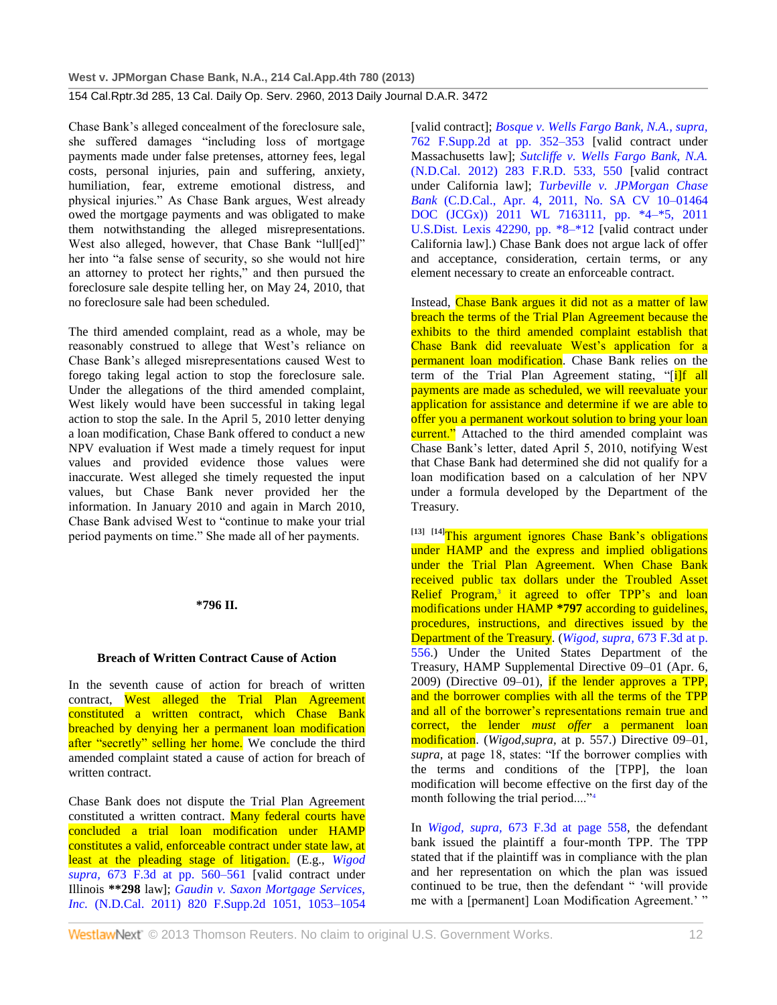Chase Bank's alleged concealment of the foreclosure sale, she suffered damages "including loss of mortgage payments made under false pretenses, attorney fees, legal costs, personal injuries, pain and suffering, anxiety, humiliation, fear, extreme emotional distress, and physical injuries." As Chase Bank argues, West already owed the mortgage payments and was obligated to make them notwithstanding the alleged misrepresentations. West also alleged, however, that Chase Bank "lull[ed]" her into "a false sense of security, so she would not hire an attorney to protect her rights," and then pursued the foreclosure sale despite telling her, on May 24, 2010, that no foreclosure sale had been scheduled.

The third amended complaint, read as a whole, may be reasonably construed to allege that West's reliance on Chase Bank's alleged misrepresentations caused West to forego taking legal action to stop the foreclosure sale. Under the allegations of the third amended complaint, West likely would have been successful in taking legal action to stop the sale. In the April 5, 2010 letter denying a loan modification, Chase Bank offered to conduct a new NPV evaluation if West made a timely request for input values and provided evidence those values were inaccurate. West alleged she timely requested the input values, but Chase Bank never provided her the information. In January 2010 and again in March 2010, Chase Bank advised West to "continue to make your trial period payments on time." She made all of her payments.

#### **\*796 II.**

#### **Breach of Written Contract Cause of Action**

In the seventh cause of action for breach of written contract, West alleged the Trial Plan Agreement constituted a written contract, which Chase Bank breached by denying her a permanent loan modification after "secretly" selling her home. We conclude the third amended complaint stated a cause of action for breach of written contract.

Chase Bank does not dispute the Trial Plan Agreement constituted a written contract. Many federal courts have concluded a trial loan modification under HAMP constitutes a valid, enforceable contract under state law, at least at the pleading stage of litigation. (E.g., *[Wigod](http://www.westlaw.com/Link/Document/FullText?findType=Y&serNum=2027271756&pubNum=0000506&originationContext=document&vr=3.0&rs=cblt1.0&transitionType=DocumentItem&contextData=(sc.UserEnteredCitation)#co_pp_sp_506_560)  supra,* [673 F.3d at pp. 560–561](http://www.westlaw.com/Link/Document/FullText?findType=Y&serNum=2027271756&pubNum=0000506&originationContext=document&vr=3.0&rs=cblt1.0&transitionType=DocumentItem&contextData=(sc.UserEnteredCitation)#co_pp_sp_506_560) [valid contract under Illinois **\*\*298** law]; *[Gaudin v. Saxon Mortgage Services,](http://www.westlaw.com/Link/Document/FullText?findType=Y&serNum=2026401130&pubNum=0004637&originationContext=document&vr=3.0&rs=cblt1.0&transitionType=DocumentItem&contextData=(sc.UserEnteredCitation)#co_pp_sp_4637_1053)  Inc.* [\(N.D.Cal. 2011\) 820 F.Supp.2d 1051, 1053–1054](http://www.westlaw.com/Link/Document/FullText?findType=Y&serNum=2026401130&pubNum=0004637&originationContext=document&vr=3.0&rs=cblt1.0&transitionType=DocumentItem&contextData=(sc.UserEnteredCitation)#co_pp_sp_4637_1053) [valid contract]; *[Bosque v. Wells Fargo Bank, N.A., supra,](http://www.westlaw.com/Link/Document/FullText?findType=Y&serNum=2024511741&pubNum=0004637&originationContext=document&vr=3.0&rs=cblt1.0&transitionType=DocumentItem&contextData=(sc.UserEnteredCitation)#co_pp_sp_4637_352)* [762 F.Supp.2d at pp. 352–353](http://www.westlaw.com/Link/Document/FullText?findType=Y&serNum=2024511741&pubNum=0004637&originationContext=document&vr=3.0&rs=cblt1.0&transitionType=DocumentItem&contextData=(sc.UserEnteredCitation)#co_pp_sp_4637_352) [valid contract under Massachusetts law]; *[Sutcliffe v. Wells Fargo Bank, N.A.](http://www.westlaw.com/Link/Document/FullText?findType=Y&serNum=2027663909&pubNum=0000344&originationContext=document&vr=3.0&rs=cblt1.0&transitionType=DocumentItem&contextData=(sc.UserEnteredCitation)#co_pp_sp_344_550)* [\(N.D.Cal. 2012\) 283 F.R.D. 533, 550](http://www.westlaw.com/Link/Document/FullText?findType=Y&serNum=2027663909&pubNum=0000344&originationContext=document&vr=3.0&rs=cblt1.0&transitionType=DocumentItem&contextData=(sc.UserEnteredCitation)#co_pp_sp_344_550) [valid contract under California law]; *[Turbeville v. JPMorgan Chase](http://www.westlaw.com/Link/Document/FullText?findType=Y&serNum=2027063329&pubNum=0000999&originationContext=document&vr=3.0&rs=cblt1.0&transitionType=DocumentItem&contextData=(sc.UserEnteredCitation))  Bank* [\(C.D.Cal., Apr. 4, 2011, No. SA CV 10–01464](http://www.westlaw.com/Link/Document/FullText?findType=Y&serNum=2027063329&pubNum=0000999&originationContext=document&vr=3.0&rs=cblt1.0&transitionType=DocumentItem&contextData=(sc.UserEnteredCitation))  [DOC \(JCGx\)\) 2011 WL 7163111, pp. \\*4–\\*5, 2011](http://www.westlaw.com/Link/Document/FullText?findType=Y&serNum=2027063329&pubNum=0000999&originationContext=document&vr=3.0&rs=cblt1.0&transitionType=DocumentItem&contextData=(sc.UserEnteredCitation))  [U.S.Dist. Lexis 42290, pp. \\*8–\\*12](http://www.westlaw.com/Link/Document/FullText?findType=Y&serNum=2027063329&pubNum=0000999&originationContext=document&vr=3.0&rs=cblt1.0&transitionType=DocumentItem&contextData=(sc.UserEnteredCitation)) [valid contract under California law].) Chase Bank does not argue lack of offer and acceptance, consideration, certain terms, or any element necessary to create an enforceable contract.

Instead, Chase Bank argues it did not as a matter of law breach the terms of the Trial Plan Agreement because the exhibits to the third amended complaint establish that Chase Bank did reevaluate West's application for a permanent loan modification. Chase Bank relies on the term of the Trial Plan Agreement stating, "[i]f all payments are made as scheduled, we will reevaluate your application for assistance and determine if we are able to offer you a permanent workout solution to bring your loan current." Attached to the third amended complaint was Chase Bank's letter, dated April 5, 2010, notifying West that Chase Bank had determined she did not qualify for a loan modification based on a calculation of her NPV under a formula developed by the Department of the Treasury.

**[13] [14]**This argument ignores Chase Bank's obligations under HAMP and the express and implied obligations under the Trial Plan Agreement. When Chase Bank received public tax dollars under the Troubled Asset Relief Program,<sup>3</sup> it agreed to offer TPP's and loan modifications under HAMP **\*797** according to guidelines, procedures, instructions, and directives issued by the Department of the Treasury. (*Wigod, supra,* [673 F.3d at p.](http://www.westlaw.com/Link/Document/FullText?findType=Y&serNum=2027271756&pubNum=0000506&originationContext=document&vr=3.0&rs=cblt1.0&transitionType=DocumentItem&contextData=(sc.UserEnteredCitation)#co_pp_sp_506_556)  [556.](http://www.westlaw.com/Link/Document/FullText?findType=Y&serNum=2027271756&pubNum=0000506&originationContext=document&vr=3.0&rs=cblt1.0&transitionType=DocumentItem&contextData=(sc.UserEnteredCitation)#co_pp_sp_506_556)) Under the United States Department of the Treasury, HAMP Supplemental Directive 09–01 (Apr. 6, 2009) (Directive  $09-01$ ), if the lender approves a TPP, and the borrower complies with all the terms of the TPP and all of the borrower's representations remain true and correct, the lender *must offer* a permanent loan modification. (*Wigod,supra,* at p. 557.) Directive 09–01, *supra,* at page 18, states: "If the borrower complies with the terms and conditions of the [TPP], the loan modification will become effective on the first day of the month following the trial period...."<sup>4</sup>

In *Wigod, supra,* [673 F.3d at page 558,](http://www.westlaw.com/Link/Document/FullText?findType=Y&serNum=2027271756&pubNum=0000506&originationContext=document&vr=3.0&rs=cblt1.0&transitionType=DocumentItem&contextData=(sc.UserEnteredCitation)#co_pp_sp_506_558) the defendant bank issued the plaintiff a four-month TPP. The TPP stated that if the plaintiff was in compliance with the plan and her representation on which the plan was issued continued to be true, then the defendant " 'will provide me with a [permanent] Loan Modification Agreement.' "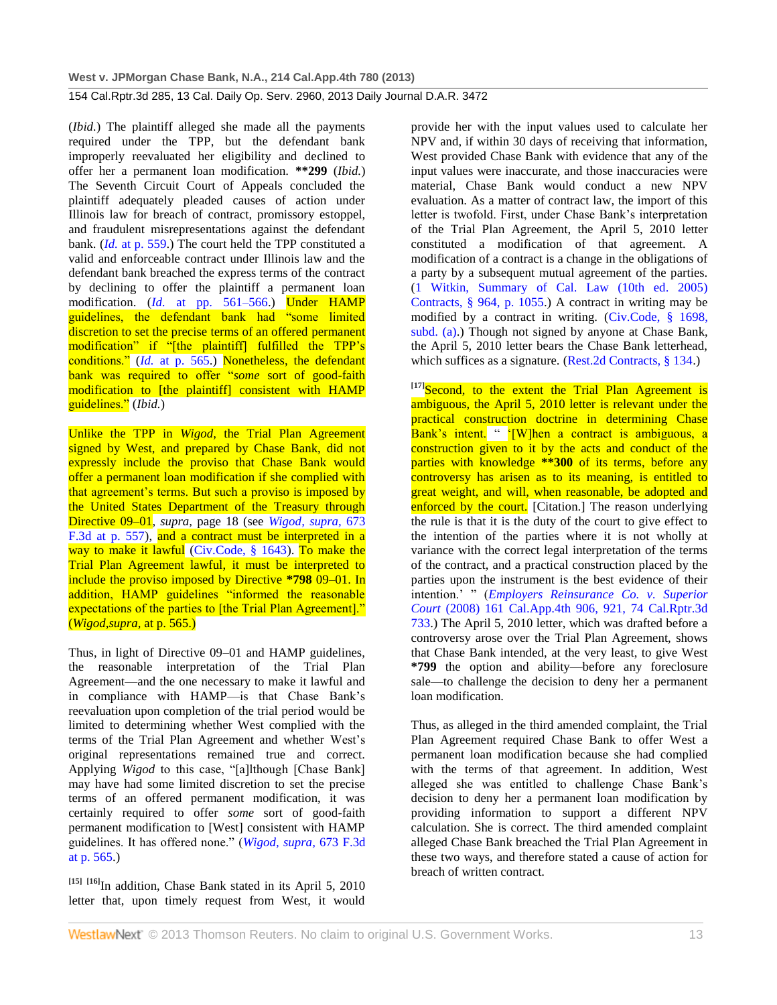(*Ibid.*) The plaintiff alleged she made all the payments required under the TPP, but the defendant bank improperly reevaluated her eligibility and declined to offer her a permanent loan modification. **\*\*299** (*Ibid.*) The Seventh Circuit Court of Appeals concluded the plaintiff adequately pleaded causes of action under Illinois law for breach of contract, promissory estoppel, and fraudulent misrepresentations against the defendant bank. (*Id.* [at p. 559.](http://www.westlaw.com/Link/Document/FullText?findType=Y&serNum=2027271756&pubNum=0000506&originationContext=document&vr=3.0&rs=cblt1.0&transitionType=DocumentItem&contextData=(sc.UserEnteredCitation)#co_pp_sp_506_559)) The court held the TPP constituted a valid and enforceable contract under Illinois law and the defendant bank breached the express terms of the contract by declining to offer the plaintiff a permanent loan modification. (*Id.* at pp. 561-566.) Under HAMP guidelines, the defendant bank had "some limited discretion to set the precise terms of an offered permanent modification" if "[the plaintiff] fulfilled the TPP's conditions." (*Id.* [at p. 565.](http://www.westlaw.com/Link/Document/FullText?findType=Y&serNum=2027271756&pubNum=0000506&originationContext=document&vr=3.0&rs=cblt1.0&transitionType=DocumentItem&contextData=(sc.UserEnteredCitation)#co_pp_sp_506_565)) Nonetheless, the defendant bank was required to offer "*some* sort of good-faith modification to [the plaintiff] consistent with HAMP guidelines." (*Ibid.*)

Unlike the TPP in *Wigod,* the Trial Plan Agreement signed by West, and prepared by Chase Bank, did not expressly include the proviso that Chase Bank would offer a permanent loan modification if she complied with that agreement's terms. But such a proviso is imposed by the United States Department of the Treasury through Directive 09–01, *supra,* page 18 (see *[Wigod, supra,](http://www.westlaw.com/Link/Document/FullText?findType=Y&serNum=2027271756&pubNum=0000506&originationContext=document&vr=3.0&rs=cblt1.0&transitionType=DocumentItem&contextData=(sc.UserEnteredCitation)#co_pp_sp_506_557)* 673 [F.3d at p. 557\)](http://www.westlaw.com/Link/Document/FullText?findType=Y&serNum=2027271756&pubNum=0000506&originationContext=document&vr=3.0&rs=cblt1.0&transitionType=DocumentItem&contextData=(sc.UserEnteredCitation)#co_pp_sp_506_557), and a contract must be interpreted in a way to make it lawful [\(Civ.Code, § 1643\)](http://www.westlaw.com/Link/Document/FullText?findType=L&pubNum=1000200&cite=CACIS1643&originatingDoc=Idf95addd905311e2981ea20c4f198a69&refType=LQ&originationContext=document&vr=3.0&rs=cblt1.0&transitionType=DocumentItem&contextData=(sc.UserEnteredCitation)). To make the Trial Plan Agreement lawful, it must be interpreted to include the proviso imposed by Directive **\*798** 09–01. In addition, HAMP guidelines "informed the reasonable expectations of the parties to [the Trial Plan Agreement]." (*Wigod,supra,* at p. 565.)

Thus, in light of Directive 09–01 and HAMP guidelines, the reasonable interpretation of the Trial Plan Agreement—and the one necessary to make it lawful and in compliance with HAMP—is that Chase Bank's reevaluation upon completion of the trial period would be limited to determining whether West complied with the terms of the Trial Plan Agreement and whether West's original representations remained true and correct. Applying *Wigod* to this case, "[a]lthough [Chase Bank] may have had some limited discretion to set the precise terms of an offered permanent modification, it was certainly required to offer *some* sort of good-faith permanent modification to [West] consistent with HAMP guidelines. It has offered none." (*[Wigod, supra,](http://www.westlaw.com/Link/Document/FullText?findType=Y&serNum=2027271756&pubNum=0000506&originationContext=document&vr=3.0&rs=cblt1.0&transitionType=DocumentItem&contextData=(sc.UserEnteredCitation)#co_pp_sp_506_565)* 673 F.3d [at p. 565.](http://www.westlaw.com/Link/Document/FullText?findType=Y&serNum=2027271756&pubNum=0000506&originationContext=document&vr=3.0&rs=cblt1.0&transitionType=DocumentItem&contextData=(sc.UserEnteredCitation)#co_pp_sp_506_565))

**[15] [16]**In addition, Chase Bank stated in its April 5, 2010 letter that, upon timely request from West, it would provide her with the input values used to calculate her NPV and, if within 30 days of receiving that information, West provided Chase Bank with evidence that any of the input values were inaccurate, and those inaccuracies were material, Chase Bank would conduct a new NPV evaluation. As a matter of contract law, the import of this letter is twofold. First, under Chase Bank's interpretation of the Trial Plan Agreement, the April 5, 2010 letter constituted a modification of that agreement. A modification of a contract is a change in the obligations of a party by a subsequent mutual agreement of the parties. [\(1 Witkin, Summary of Cal. Law \(10th ed. 2005\)](http://www.westlaw.com/Link/Document/FullText?findType=Y&serNum=0305869448&pubNum=0155622&originationContext=document&vr=3.0&rs=cblt1.0&transitionType=DocumentItem&contextData=(sc.UserEnteredCitation))  [Contracts, § 964, p. 1055.](http://www.westlaw.com/Link/Document/FullText?findType=Y&serNum=0305869448&pubNum=0155622&originationContext=document&vr=3.0&rs=cblt1.0&transitionType=DocumentItem&contextData=(sc.UserEnteredCitation))) A contract in writing may be modified by a contract in writing. [\(Civ.Code, § 1698,](http://www.westlaw.com/Link/Document/FullText?findType=L&pubNum=1000200&cite=CACIS1698&originatingDoc=Idf95addd905311e2981ea20c4f198a69&refType=SP&originationContext=document&vr=3.0&rs=cblt1.0&transitionType=DocumentItem&contextData=(sc.UserEnteredCitation)#co_pp_8b3b0000958a4)  [subd. \(a\).](http://www.westlaw.com/Link/Document/FullText?findType=L&pubNum=1000200&cite=CACIS1698&originatingDoc=Idf95addd905311e2981ea20c4f198a69&refType=SP&originationContext=document&vr=3.0&rs=cblt1.0&transitionType=DocumentItem&contextData=(sc.UserEnteredCitation)#co_pp_8b3b0000958a4)) Though not signed by anyone at Chase Bank, the April 5, 2010 letter bears the Chase Bank letterhead, which suffices as a signature. [\(Rest.2d Contracts, § 134.](http://www.westlaw.com/Link/Document/FullText?findType=Y&serNum=0289907044&pubNum=0101603&originationContext=document&vr=3.0&rs=cblt1.0&transitionType=DocumentItem&contextData=(sc.UserEnteredCitation)))

<sup>[17]</sup>Second, to the extent the Trial Plan Agreement is ambiguous, the April 5, 2010 letter is relevant under the practical construction doctrine in determining Chase Bank's intent. " '[W]hen a contract is ambiguous, a construction given to it by the acts and conduct of the parties with knowledge **\*\*300** of its terms, before any controversy has arisen as to its meaning, is entitled to great weight, and will, when reasonable, be adopted and enforced by the court. [Citation.] The reason underlying the rule is that it is the duty of the court to give effect to the intention of the parties where it is not wholly at variance with the correct legal interpretation of the terms of the contract, and a practical construction placed by the parties upon the instrument is the best evidence of their intention.' " (*[Employers Reinsurance Co. v. Superior](http://www.westlaw.com/Link/Document/FullText?findType=Y&serNum=2015717659&pubNum=0007047&originationContext=document&vr=3.0&rs=cblt1.0&transitionType=DocumentItem&contextData=(sc.UserEnteredCitation))  Court* [\(2008\) 161 Cal.App.4th 906, 921, 74 Cal.Rptr.3d](http://www.westlaw.com/Link/Document/FullText?findType=Y&serNum=2015717659&pubNum=0007047&originationContext=document&vr=3.0&rs=cblt1.0&transitionType=DocumentItem&contextData=(sc.UserEnteredCitation))  [733.](http://www.westlaw.com/Link/Document/FullText?findType=Y&serNum=2015717659&pubNum=0007047&originationContext=document&vr=3.0&rs=cblt1.0&transitionType=DocumentItem&contextData=(sc.UserEnteredCitation))) The April 5, 2010 letter, which was drafted before a controversy arose over the Trial Plan Agreement, shows that Chase Bank intended, at the very least, to give West **\*799** the option and ability—before any foreclosure sale—to challenge the decision to deny her a permanent loan modification.

Thus, as alleged in the third amended complaint, the Trial Plan Agreement required Chase Bank to offer West a permanent loan modification because she had complied with the terms of that agreement. In addition, West alleged she was entitled to challenge Chase Bank's decision to deny her a permanent loan modification by providing information to support a different NPV calculation. She is correct. The third amended complaint alleged Chase Bank breached the Trial Plan Agreement in these two ways, and therefore stated a cause of action for breach of written contract.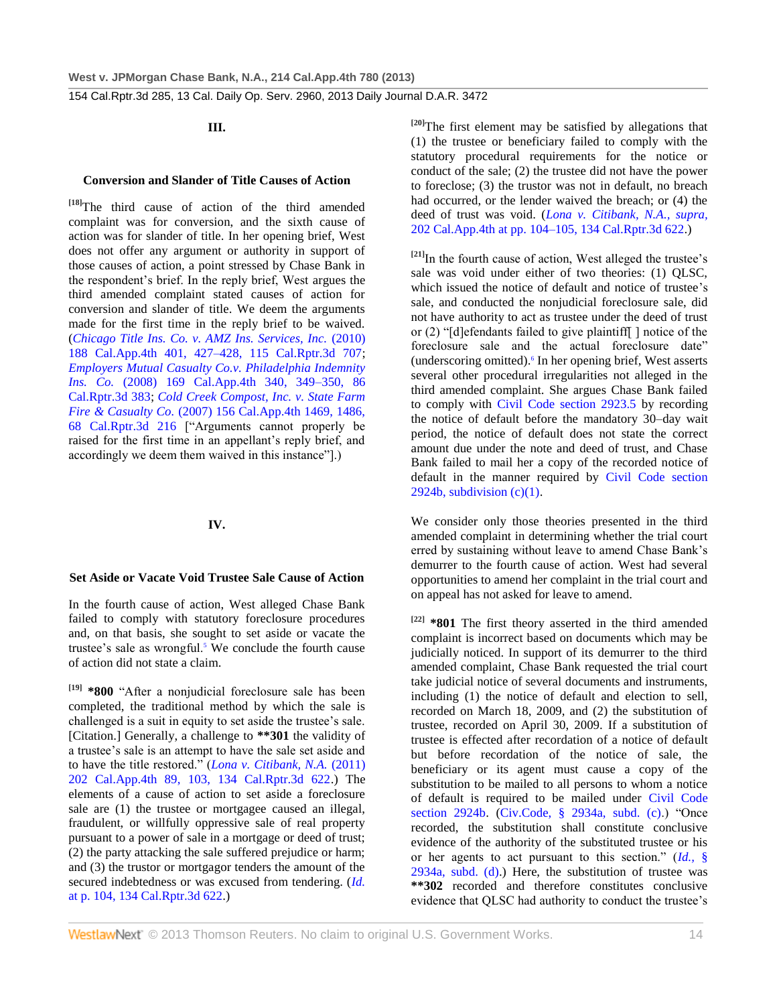#### **III.**

#### **Conversion and Slander of Title Causes of Action**

**[18]**The third cause of action of the third amended complaint was for conversion, and the sixth cause of action was for slander of title. In her opening brief, West does not offer any argument or authority in support of those causes of action, a point stressed by Chase Bank in the respondent's brief. In the reply brief, West argues the third amended complaint stated causes of action for conversion and slander of title. We deem the arguments made for the first time in the reply brief to be waived. (*[Chicago Title Ins. Co. v. AMZ Ins. Services, Inc.](http://www.westlaw.com/Link/Document/FullText?findType=Y&serNum=2022954292&pubNum=0007047&originationContext=document&vr=3.0&rs=cblt1.0&transitionType=DocumentItem&contextData=(sc.UserEnteredCitation))* (2010) [188 Cal.App.4th 401, 427–428, 115 Cal.Rptr.3d 707;](http://www.westlaw.com/Link/Document/FullText?findType=Y&serNum=2022954292&pubNum=0007047&originationContext=document&vr=3.0&rs=cblt1.0&transitionType=DocumentItem&contextData=(sc.UserEnteredCitation)) *[Employers Mutual Casualty Co.v. Philadelphia Indemnity](http://www.westlaw.com/Link/Document/FullText?findType=Y&serNum=2017670532&pubNum=0007047&originationContext=document&vr=3.0&rs=cblt1.0&transitionType=DocumentItem&contextData=(sc.UserEnteredCitation))  Ins. Co.* [\(2008\) 169 Cal.App.4th 340, 349–350, 86](http://www.westlaw.com/Link/Document/FullText?findType=Y&serNum=2017670532&pubNum=0007047&originationContext=document&vr=3.0&rs=cblt1.0&transitionType=DocumentItem&contextData=(sc.UserEnteredCitation))  [Cal.Rptr.3d 383;](http://www.westlaw.com/Link/Document/FullText?findType=Y&serNum=2017670532&pubNum=0007047&originationContext=document&vr=3.0&rs=cblt1.0&transitionType=DocumentItem&contextData=(sc.UserEnteredCitation)) *[Cold Creek Compost, Inc. v. State Farm](http://www.westlaw.com/Link/Document/FullText?findType=Y&serNum=2014131288&pubNum=0007047&originationContext=document&vr=3.0&rs=cblt1.0&transitionType=DocumentItem&contextData=(sc.UserEnteredCitation))  Fire & Casualty Co.* [\(2007\) 156 Cal.App.4th 1469, 1486,](http://www.westlaw.com/Link/Document/FullText?findType=Y&serNum=2014131288&pubNum=0007047&originationContext=document&vr=3.0&rs=cblt1.0&transitionType=DocumentItem&contextData=(sc.UserEnteredCitation))  [68 Cal.Rptr.3d 216](http://www.westlaw.com/Link/Document/FullText?findType=Y&serNum=2014131288&pubNum=0007047&originationContext=document&vr=3.0&rs=cblt1.0&transitionType=DocumentItem&contextData=(sc.UserEnteredCitation)) ["Arguments cannot properly be raised for the first time in an appellant's reply brief, and accordingly we deem them waived in this instance"].)

#### **IV.**

#### **Set Aside or Vacate Void Trustee Sale Cause of Action**

In the fourth cause of action, West alleged Chase Bank failed to comply with statutory foreclosure procedures and, on that basis, she sought to set aside or vacate the trustee's sale as wrongful.<sup>5</sup> We conclude the fourth cause of action did not state a claim.

**[19] \*800** "After a nonjudicial foreclosure sale has been completed, the traditional method by which the sale is challenged is a suit in equity to set aside the trustee's sale. [Citation.] Generally, a challenge to **\*\*301** the validity of a trustee's sale is an attempt to have the sale set aside and to have the title restored." (*Lona [v. Citibank, N.A.](http://www.westlaw.com/Link/Document/FullText?findType=Y&serNum=2026717448&pubNum=0007047&originationContext=document&vr=3.0&rs=cblt1.0&transitionType=DocumentItem&contextData=(sc.UserEnteredCitation))* (2011) [202 Cal.App.4th 89, 103, 134 Cal.Rptr.3d 622.](http://www.westlaw.com/Link/Document/FullText?findType=Y&serNum=2026717448&pubNum=0007047&originationContext=document&vr=3.0&rs=cblt1.0&transitionType=DocumentItem&contextData=(sc.UserEnteredCitation))) The elements of a cause of action to set aside a foreclosure sale are (1) the trustee or mortgagee caused an illegal, fraudulent, or willfully oppressive sale of real property pursuant to a power of sale in a mortgage or deed of trust; (2) the party attacking the sale suffered prejudice or harm; and (3) the trustor or mortgagor tenders the amount of the secured indebtedness or was excused from tendering. (*[Id.](http://www.westlaw.com/Link/Document/FullText?findType=Y&serNum=2026717448&pubNum=0007047&originationContext=document&vr=3.0&rs=cblt1.0&transitionType=DocumentItem&contextData=(sc.UserEnteredCitation))* [at p. 104, 134 Cal.Rptr.3d 622.\)](http://www.westlaw.com/Link/Document/FullText?findType=Y&serNum=2026717448&pubNum=0007047&originationContext=document&vr=3.0&rs=cblt1.0&transitionType=DocumentItem&contextData=(sc.UserEnteredCitation))

**[20]**The first element may be satisfied by allegations that (1) the trustee or beneficiary failed to comply with the statutory procedural requirements for the notice or conduct of the sale; (2) the trustee did not have the power to foreclose; (3) the trustor was not in default, no breach had occurred, or the lender waived the breach; or (4) the deed of trust was void. (*[Lona v. Citibank, N.A., supra,](http://www.westlaw.com/Link/Document/FullText?findType=Y&serNum=2026717448&pubNum=0007047&originationContext=document&vr=3.0&rs=cblt1.0&transitionType=DocumentItem&contextData=(sc.UserEnteredCitation))* [202 Cal.App.4th at pp. 104–105, 134 Cal.Rptr.3d 622.\)](http://www.westlaw.com/Link/Document/FullText?findType=Y&serNum=2026717448&pubNum=0007047&originationContext=document&vr=3.0&rs=cblt1.0&transitionType=DocumentItem&contextData=(sc.UserEnteredCitation))

**[21]**In the fourth cause of action, West alleged the trustee's sale was void under either of two theories: (1) QLSC, which issued the notice of default and notice of trustee's sale, and conducted the nonjudicial foreclosure sale, did not have authority to act as trustee under the deed of trust or (2) "[d]efendants failed to give plaintiff[ ] notice of the foreclosure sale and the actual foreclosure date" (underscoring omitted).<sup>6</sup> In her opening brief, West asserts several other procedural irregularities not alleged in the third amended complaint. She argues Chase Bank failed to comply with [Civil Code section 2923.5](http://www.westlaw.com/Link/Document/FullText?findType=L&pubNum=1000200&cite=CACIS2923.5&originatingDoc=Idf95addd905311e2981ea20c4f198a69&refType=LQ&originationContext=document&vr=3.0&rs=cblt1.0&transitionType=DocumentItem&contextData=(sc.UserEnteredCitation)) by recording the notice of default before the mandatory 30–day wait period, the notice of default does not state the correct amount due under the note and deed of trust, and Chase Bank failed to mail her a copy of the recorded notice of default in the manner required by [Civil Code section](http://www.westlaw.com/Link/Document/FullText?findType=L&pubNum=1000200&cite=CACIS2924B&originatingDoc=Idf95addd905311e2981ea20c4f198a69&refType=SP&originationContext=document&vr=3.0&rs=cblt1.0&transitionType=DocumentItem&contextData=(sc.UserEnteredCitation)#co_pp_10c0000001331)   $2924b$ , subdivision  $(c)(1)$ .

We consider only those theories presented in the third amended complaint in determining whether the trial court erred by sustaining without leave to amend Chase Bank's demurrer to the fourth cause of action. West had several opportunities to amend her complaint in the trial court and on appeal has not asked for leave to amend.

**[22] \*801** The first theory asserted in the third amended complaint is incorrect based on documents which may be judicially noticed. In support of its demurrer to the third amended complaint, Chase Bank requested the trial court take judicial notice of several documents and instruments, including (1) the notice of default and election to sell, recorded on March 18, 2009, and (2) the substitution of trustee, recorded on April 30, 2009. If a substitution of trustee is effected after recordation of a notice of default but before recordation of the notice of sale, the beneficiary or its agent must cause a copy of the substitution to be mailed to all persons to whom a notice of default is required to be mailed under [Civil Code](http://www.westlaw.com/Link/Document/FullText?findType=L&pubNum=1000200&cite=CACIS2924B&originatingDoc=Idf95addd905311e2981ea20c4f198a69&refType=LQ&originationContext=document&vr=3.0&rs=cblt1.0&transitionType=DocumentItem&contextData=(sc.UserEnteredCitation))  [section 2924b.](http://www.westlaw.com/Link/Document/FullText?findType=L&pubNum=1000200&cite=CACIS2924B&originatingDoc=Idf95addd905311e2981ea20c4f198a69&refType=LQ&originationContext=document&vr=3.0&rs=cblt1.0&transitionType=DocumentItem&contextData=(sc.UserEnteredCitation)) [\(Civ.Code, § 2934a, subd. \(c\).](http://www.westlaw.com/Link/Document/FullText?findType=L&pubNum=1000200&cite=CACIS2934A&originatingDoc=Idf95addd905311e2981ea20c4f198a69&refType=SP&originationContext=document&vr=3.0&rs=cblt1.0&transitionType=DocumentItem&contextData=(sc.UserEnteredCitation)#co_pp_4b24000003ba5)) "Once recorded, the substitution shall constitute conclusive evidence of the authority of the substituted trustee or his or her agents to act pursuant to this section." (*[Id.,](http://www.westlaw.com/Link/Document/FullText?findType=L&pubNum=1000200&cite=CACIS2934A&originatingDoc=Idf95addd905311e2981ea20c4f198a69&refType=SP&originationContext=document&vr=3.0&rs=cblt1.0&transitionType=DocumentItem&contextData=(sc.UserEnteredCitation)#co_pp_5ba1000067d06)* §  $2934a$ , subd. (d).) Here, the substitution of trustee was **\*\*302** recorded and therefore constitutes conclusive evidence that QLSC had authority to conduct the trustee's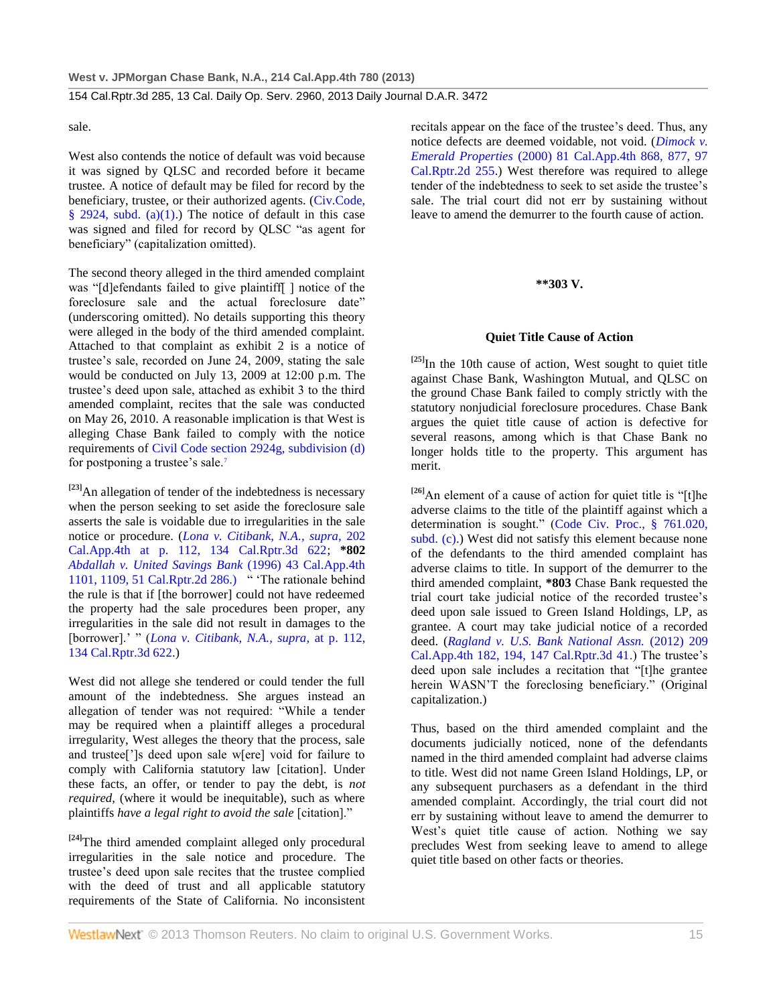sale.

West also contends the notice of default was void because it was signed by QLSC and recorded before it became trustee. A notice of default may be filed for record by the beneficiary, trustee, or their authorized agents. [\(Civ.Code,](http://www.westlaw.com/Link/Document/FullText?findType=L&pubNum=1000200&cite=CACIS2924&originatingDoc=Idf95addd905311e2981ea20c4f198a69&refType=SP&originationContext=document&vr=3.0&rs=cblt1.0&transitionType=DocumentItem&contextData=(sc.UserEnteredCitation)#co_pp_7b9b000044381)   $§$  2924, subd. (a)(1).) The notice of default in this case was signed and filed for record by QLSC "as agent for beneficiary" (capitalization omitted).

The second theory alleged in the third amended complaint was "[d]efendants failed to give plaintiff[ ] notice of the foreclosure sale and the actual foreclosure date" (underscoring omitted). No details supporting this theory were alleged in the body of the third amended complaint. Attached to that complaint as exhibit 2 is a notice of trustee's sale, recorded on June 24, 2009, stating the sale would be conducted on July 13, 2009 at 12:00 p.m. The trustee's deed upon sale, attached as exhibit 3 to the third amended complaint, recites that the sale was conducted on May 26, 2010. A reasonable implication is that West is alleging Chase Bank failed to comply with the notice requirements of [Civil Code section 2924g, subdivision \(d\)](http://www.westlaw.com/Link/Document/FullText?findType=L&pubNum=1000200&cite=CACIS2924G&originatingDoc=Idf95addd905311e2981ea20c4f198a69&refType=SP&originationContext=document&vr=3.0&rs=cblt1.0&transitionType=DocumentItem&contextData=(sc.UserEnteredCitation)#co_pp_5ba1000067d06) for postponing a trustee's sale.<sup>7</sup>

**[23]**An allegation of tender of the indebtedness is necessary when the person seeking to set aside the foreclosure sale asserts the sale is voidable due to irregularities in the sale notice or procedure. (*[Lona v. Citibank, N.A., supra,](http://www.westlaw.com/Link/Document/FullText?findType=Y&serNum=2026717448&pubNum=0007047&originationContext=document&vr=3.0&rs=cblt1.0&transitionType=DocumentItem&contextData=(sc.UserEnteredCitation))* 202 [Cal.App.4th at p. 112, 134 Cal.Rptr.3d 622;](http://www.westlaw.com/Link/Document/FullText?findType=Y&serNum=2026717448&pubNum=0007047&originationContext=document&vr=3.0&rs=cblt1.0&transitionType=DocumentItem&contextData=(sc.UserEnteredCitation)) **\*802** *[Abdallah v. United Savings](http://www.westlaw.com/Link/Document/FullText?findType=Y&serNum=1996076272&pubNum=0003484&originationContext=document&vr=3.0&rs=cblt1.0&transitionType=DocumentItem&contextData=(sc.UserEnteredCitation)) Bank* (1996) 43 Cal.App.4th [1101, 1109, 51 Cal.Rptr.2d 286.\)](http://www.westlaw.com/Link/Document/FullText?findType=Y&serNum=1996076272&pubNum=0003484&originationContext=document&vr=3.0&rs=cblt1.0&transitionType=DocumentItem&contextData=(sc.UserEnteredCitation)) " 'The rationale behind the rule is that if [the borrower] could not have redeemed the property had the sale procedures been proper, any irregularities in the sale did not result in damages to the [borrower].' " (*Lona [v. Citibank, N.A., supra,](http://www.westlaw.com/Link/Document/FullText?findType=Y&serNum=2026717448&pubNum=0007047&originationContext=document&vr=3.0&rs=cblt1.0&transitionType=DocumentItem&contextData=(sc.UserEnteredCitation))* at p. 112, [134 Cal.Rptr.3d 622.](http://www.westlaw.com/Link/Document/FullText?findType=Y&serNum=2026717448&pubNum=0007047&originationContext=document&vr=3.0&rs=cblt1.0&transitionType=DocumentItem&contextData=(sc.UserEnteredCitation)))

West did not allege she tendered or could tender the full amount of the indebtedness. She argues instead an allegation of tender was not required: "While a tender may be required when a plaintiff alleges a procedural irregularity, West alleges the theory that the process, sale and trustee[']s deed upon sale w[ere] void for failure to comply with California statutory law [citation]. Under these facts, an offer, or tender to pay the debt, is *not required,* (where it would be inequitable), such as where plaintiffs *have a legal right to avoid the sale* [citation]."

**[24]**The third amended complaint alleged only procedural irregularities in the sale notice and procedure. The trustee's deed upon sale recites that the trustee complied with the deed of trust and all applicable statutory requirements of the State of California. No inconsistent recitals appear on the face of the trustee's deed. Thus, any notice defects are deemed voidable, not void. (*[Dimock v.](http://www.westlaw.com/Link/Document/FullText?findType=Y&serNum=2000385040&pubNum=0003484&originationContext=document&vr=3.0&rs=cblt1.0&transitionType=DocumentItem&contextData=(sc.UserEnteredCitation))  Emerald Properties* [\(2000\) 81 Cal.App.4th 868, 877, 97](http://www.westlaw.com/Link/Document/FullText?findType=Y&serNum=2000385040&pubNum=0003484&originationContext=document&vr=3.0&rs=cblt1.0&transitionType=DocumentItem&contextData=(sc.UserEnteredCitation))  [Cal.Rptr.2d 255.](http://www.westlaw.com/Link/Document/FullText?findType=Y&serNum=2000385040&pubNum=0003484&originationContext=document&vr=3.0&rs=cblt1.0&transitionType=DocumentItem&contextData=(sc.UserEnteredCitation))) West therefore was required to allege tender of the indebtedness to seek to set aside the trustee's sale. The trial court did not err by sustaining without leave to amend the demurrer to the fourth cause of action.

#### **\*\*303 V.**

#### **Quiet Title Cause of Action**

**[25]**In the 10th cause of action, West sought to quiet title against Chase Bank, Washington Mutual, and QLSC on the ground Chase Bank failed to comply strictly with the statutory nonjudicial foreclosure procedures. Chase Bank argues the quiet title cause of action is defective for several reasons, among which is that Chase Bank no longer holds title to the property. This argument has merit.

**[26]**An element of a cause of action for quiet title is "[t]he adverse claims to the title of the plaintiff against which a determination is sought." [\(Code Civ. Proc., § 761.020,](http://www.westlaw.com/Link/Document/FullText?findType=L&pubNum=1000201&cite=CACPS761.020&originatingDoc=Idf95addd905311e2981ea20c4f198a69&refType=SP&originationContext=document&vr=3.0&rs=cblt1.0&transitionType=DocumentItem&contextData=(sc.UserEnteredCitation)#co_pp_4b24000003ba5)  [subd. \(c\).](http://www.westlaw.com/Link/Document/FullText?findType=L&pubNum=1000201&cite=CACPS761.020&originatingDoc=Idf95addd905311e2981ea20c4f198a69&refType=SP&originationContext=document&vr=3.0&rs=cblt1.0&transitionType=DocumentItem&contextData=(sc.UserEnteredCitation)#co_pp_4b24000003ba5)) West did not satisfy this element because none of the defendants to the third amended complaint has adverse claims to title. In support of the demurrer to the third amended complaint, **\*803** Chase Bank requested the trial court take judicial notice of the recorded trustee's deed upon sale issued to Green Island Holdings, LP, as grantee. A court may take judicial notice of a recorded deed. (*[Ragland v. U.S. Bank National Assn.](http://www.westlaw.com/Link/Document/FullText?findType=Y&serNum=2028579573&pubNum=0007047&originationContext=document&vr=3.0&rs=cblt1.0&transitionType=DocumentItem&contextData=(sc.UserEnteredCitation))* (2012) 209 [Cal.App.4th 182, 194, 147 Cal.Rptr.3d 41.](http://www.westlaw.com/Link/Document/FullText?findType=Y&serNum=2028579573&pubNum=0007047&originationContext=document&vr=3.0&rs=cblt1.0&transitionType=DocumentItem&contextData=(sc.UserEnteredCitation))) The trustee's deed upon sale includes a recitation that "[t]he grantee herein WASN'T the foreclosing beneficiary." (Original capitalization.)

Thus, based on the third amended complaint and the documents judicially noticed, none of the defendants named in the third amended complaint had adverse claims to title. West did not name Green Island Holdings, LP, or any subsequent purchasers as a defendant in the third amended complaint. Accordingly, the trial court did not err by sustaining without leave to amend the demurrer to West's quiet title cause of action. Nothing we say precludes West from seeking leave to amend to allege quiet title based on other facts or theories.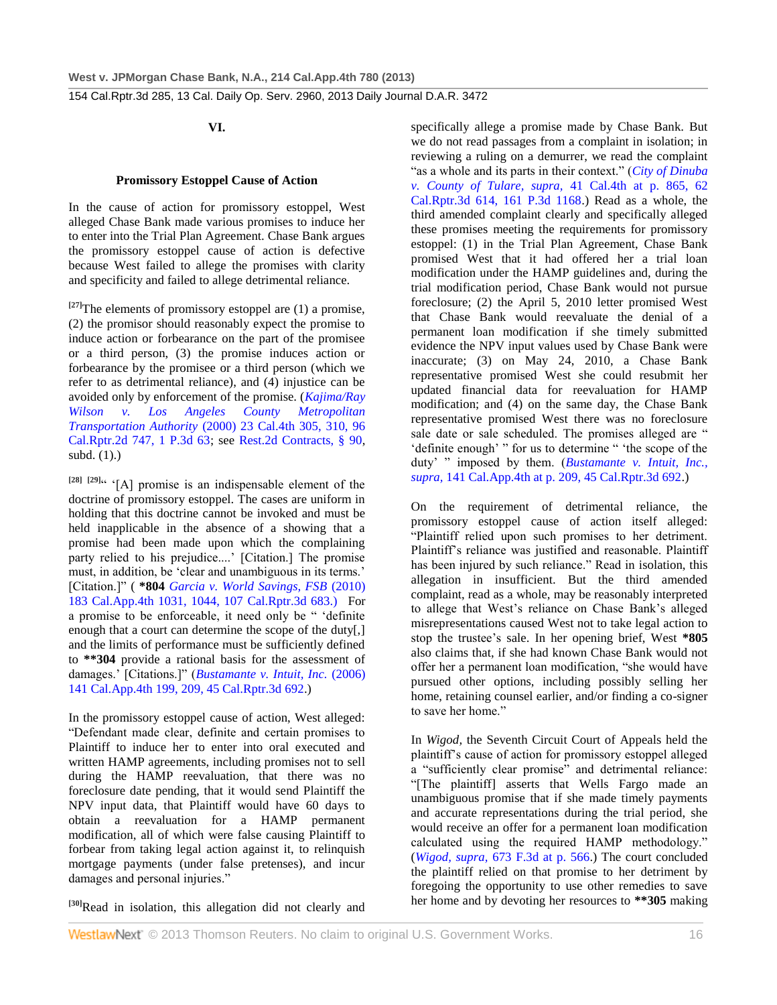#### **VI.**

#### **Promissory Estoppel Cause of Action**

In the cause of action for promissory estoppel, West alleged Chase Bank made various promises to induce her to enter into the Trial Plan Agreement. Chase Bank argues the promissory estoppel cause of action is defective because West failed to allege the promises with clarity and specificity and failed to allege detrimental reliance.

**[27]**The elements of promissory estoppel are (1) a promise, (2) the promisor should reasonably expect the promise to induce action or forbearance on the part of the promisee or a third person, (3) the promise induces action or forbearance by the promisee or a third person (which we refer to as detrimental reliance), and (4) injustice can be avoided only by enforcement of the promise. (*[Kajima/Ray](http://www.westlaw.com/Link/Document/FullText?findType=Y&serNum=2000378195&pubNum=0004645&originationContext=document&vr=3.0&rs=cblt1.0&transitionType=DocumentItem&contextData=(sc.UserEnteredCitation))  [Wilson v. Los Angeles County Metropolitan](http://www.westlaw.com/Link/Document/FullText?findType=Y&serNum=2000378195&pubNum=0004645&originationContext=document&vr=3.0&rs=cblt1.0&transitionType=DocumentItem&contextData=(sc.UserEnteredCitation))  Transportation Authority* [\(2000\) 23 Cal.4th 305, 310, 96](http://www.westlaw.com/Link/Document/FullText?findType=Y&serNum=2000378195&pubNum=0004645&originationContext=document&vr=3.0&rs=cblt1.0&transitionType=DocumentItem&contextData=(sc.UserEnteredCitation))  [Cal.Rptr.2d 747, 1 P.3d 63;](http://www.westlaw.com/Link/Document/FullText?findType=Y&serNum=2000378195&pubNum=0004645&originationContext=document&vr=3.0&rs=cblt1.0&transitionType=DocumentItem&contextData=(sc.UserEnteredCitation)) see [Rest.2d Contracts, §](http://www.westlaw.com/Link/Document/FullText?findType=Y&serNum=0289906979&pubNum=0101603&originationContext=document&vr=3.0&rs=cblt1.0&transitionType=DocumentItem&contextData=(sc.UserEnteredCitation)) 90, subd. (1).)

**[28] [29]**" '[A] promise is an indispensable element of the doctrine of promissory estoppel. The cases are uniform in holding that this doctrine cannot be invoked and must be held inapplicable in the absence of a showing that a promise had been made upon which the complaining party relied to his prejudice....' [Citation.] The promise must, in addition, be 'clear and unambiguous in its terms.' [Citation.]" ( **\*804** *[Garcia v. World Savings, FSB](http://www.westlaw.com/Link/Document/FullText?findType=Y&serNum=2021718610&pubNum=0007047&originationContext=document&vr=3.0&rs=cblt1.0&transitionType=DocumentItem&contextData=(sc.UserEnteredCitation))* (2010) [183 Cal.App.4th 1031, 1044, 107 Cal.Rptr.3d 683.\)](http://www.westlaw.com/Link/Document/FullText?findType=Y&serNum=2021718610&pubNum=0007047&originationContext=document&vr=3.0&rs=cblt1.0&transitionType=DocumentItem&contextData=(sc.UserEnteredCitation)) For a promise to be enforceable, it need only be " 'definite enough that a court can determine the scope of the duty[,] and the limits of performance must be sufficiently defined to **\*\*304** provide a rational basis for the assessment of damages.' [Citations.]" (*[Bustamante v. Intuit, Inc.](http://www.westlaw.com/Link/Document/FullText?findType=Y&serNum=2009525945&pubNum=0007047&originationContext=document&vr=3.0&rs=cblt1.0&transitionType=DocumentItem&contextData=(sc.UserEnteredCitation))* (2006) 141 Cal.App.4th 199, [209, 45 Cal.Rptr.3d 692.](http://www.westlaw.com/Link/Document/FullText?findType=Y&serNum=2009525945&pubNum=0007047&originationContext=document&vr=3.0&rs=cblt1.0&transitionType=DocumentItem&contextData=(sc.UserEnteredCitation)))

In the promissory estoppel cause of action, West alleged: "Defendant made clear, definite and certain promises to Plaintiff to induce her to enter into oral executed and written HAMP agreements, including promises not to sell during the HAMP reevaluation, that there was no foreclosure date pending, that it would send Plaintiff the NPV input data, that Plaintiff would have 60 days to obtain a reevaluation for a HAMP permanent modification, all of which were false causing Plaintiff to forbear from taking legal action against it, to relinquish mortgage payments (under false pretenses), and incur damages and personal injuries."

**[30]**Read in isolation, this allegation did not clearly and

specifically allege a promise made by Chase Bank. But we do not read passages from a complaint in isolation; in reviewing a ruling on a demurrer, we read the complaint "as a whole and its parts in their context." (*[City of Dinuba](http://www.westlaw.com/Link/Document/FullText?findType=Y&serNum=2012734170&pubNum=0004645&originationContext=document&vr=3.0&rs=cblt1.0&transitionType=DocumentItem&contextData=(sc.UserEnteredCitation))  [v. County of Tulare, supra,](http://www.westlaw.com/Link/Document/FullText?findType=Y&serNum=2012734170&pubNum=0004645&originationContext=document&vr=3.0&rs=cblt1.0&transitionType=DocumentItem&contextData=(sc.UserEnteredCitation))* 41 Cal.4th at p. 865, 62 [Cal.Rptr.3d 614, 161 P.3d 1168.\)](http://www.westlaw.com/Link/Document/FullText?findType=Y&serNum=2012734170&pubNum=0004645&originationContext=document&vr=3.0&rs=cblt1.0&transitionType=DocumentItem&contextData=(sc.UserEnteredCitation)) Read as a whole, the third amended complaint clearly and specifically alleged these promises meeting the requirements for promissory estoppel: (1) in the Trial Plan Agreement, Chase Bank promised West that it had offered her a trial loan modification under the HAMP guidelines and, during the trial modification period, Chase Bank would not pursue foreclosure; (2) the April 5, 2010 letter promised West that Chase Bank would reevaluate the denial of a permanent loan modification if she timely submitted evidence the NPV input values used by Chase Bank were inaccurate; (3) on May 24, 2010, a Chase Bank representative promised West she could resubmit her updated financial data for reevaluation for HAMP modification; and (4) on the same day, the Chase Bank representative promised West there was no foreclosure sale date or sale scheduled. The promises alleged are " 'definite enough' " for us to determine " 'the scope of the duty' " imposed by them. (*[Bustamante v. Intuit, Inc.,](http://www.westlaw.com/Link/Document/FullText?findType=Y&serNum=2009525945&pubNum=0007047&originationContext=document&vr=3.0&rs=cblt1.0&transitionType=DocumentItem&contextData=(sc.UserEnteredCitation))  supra,* [141 Cal.App.4th at p. 209, 45 Cal.Rptr.3d 692.](http://www.westlaw.com/Link/Document/FullText?findType=Y&serNum=2009525945&pubNum=0007047&originationContext=document&vr=3.0&rs=cblt1.0&transitionType=DocumentItem&contextData=(sc.UserEnteredCitation)))

On the requirement of detrimental reliance, the promissory estoppel cause of action itself alleged: "Plaintiff relied upon such promises to her detriment. Plaintiff's reliance was justified and reasonable. Plaintiff has been injured by such reliance." Read in isolation, this allegation in insufficient. But the third amended complaint, read as a whole, may be reasonably interpreted to allege that West's reliance on Chase Bank's alleged misrepresentations caused West not to take legal action to stop the trustee's sale. In her opening brief, West **\*805** also claims that, if she had known Chase Bank would not offer her a permanent loan modification, "she would have pursued other options, including possibly selling her home, retaining counsel earlier, and/or finding a co-signer to save her home."

In *Wigod,* the Seventh Circuit Court of Appeals held the plaintiff's cause of action for promissory estoppel alleged a "sufficiently clear promise" and detrimental reliance: "[The plaintiff] asserts that Wells Fargo made an unambiguous promise that if she made timely payments and accurate representations during the trial period, she would receive an offer for a permanent loan modification calculated using the required HAMP methodology." (*Wigod, supra,* [673 F.3d at p. 566.](http://www.westlaw.com/Link/Document/FullText?findType=Y&serNum=2027271756&pubNum=0000506&originationContext=document&vr=3.0&rs=cblt1.0&transitionType=DocumentItem&contextData=(sc.UserEnteredCitation)#co_pp_sp_506_566)) The court concluded the plaintiff relied on that promise to her detriment by foregoing the opportunity to use other remedies to save her home and by devoting her resources to **\*\*305** making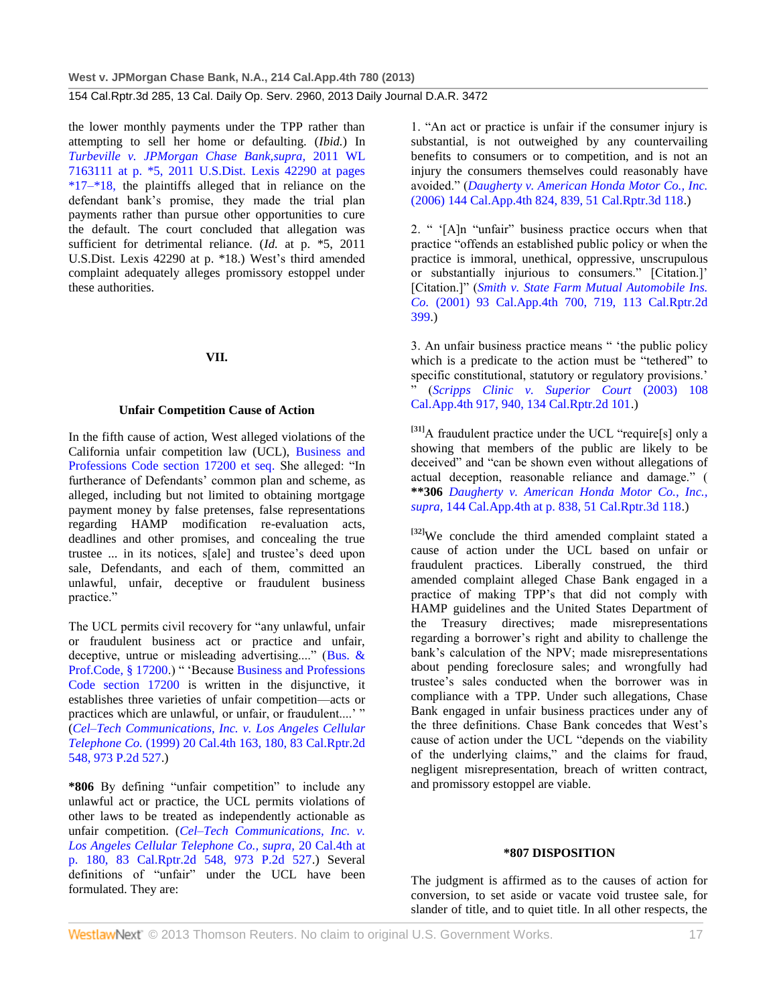the lower monthly payments under the TPP rather than attempting to sell her home or defaulting. (*Ibid.*) In *[Turbeville v. JPMorgan Chase Bank,supra,](http://www.westlaw.com/Link/Document/FullText?findType=Y&serNum=2027063329&pubNum=0000999&originationContext=document&vr=3.0&rs=cblt1.0&transitionType=DocumentItem&contextData=(sc.UserEnteredCitation))* 2011 WL [7163111 at p. \\*5, 2011 U.S.Dist. Lexis 42290 at pages](http://www.westlaw.com/Link/Document/FullText?findType=Y&serNum=2027063329&pubNum=0000999&originationContext=document&vr=3.0&rs=cblt1.0&transitionType=DocumentItem&contextData=(sc.UserEnteredCitation))  [\\*17–\\*18,](http://www.westlaw.com/Link/Document/FullText?findType=Y&serNum=2027063329&pubNum=0000999&originationContext=document&vr=3.0&rs=cblt1.0&transitionType=DocumentItem&contextData=(sc.UserEnteredCitation)) the plaintiffs alleged that in reliance on the defendant bank's promise, they made the trial plan payments rather than pursue other opportunities to cure the default. The court concluded that allegation was sufficient for detrimental reliance. (*Id.* at p. \*5, 2011 U.S.Dist. Lexis 42290 at p. \*18.) West's third amended complaint adequately alleges promissory estoppel under these authorities.

#### **VII.**

#### **Unfair Competition Cause of Action**

In the fifth cause of action, West alleged violations of the California unfair competition law (UCL), [Business and](http://www.westlaw.com/Link/Document/FullText?findType=L&pubNum=1000199&cite=CABPS17200&originatingDoc=Idf95addd905311e2981ea20c4f198a69&refType=LQ&originationContext=document&vr=3.0&rs=cblt1.0&transitionType=DocumentItem&contextData=(sc.UserEnteredCitation))  [Professions Code section 17200 et seq.](http://www.westlaw.com/Link/Document/FullText?findType=L&pubNum=1000199&cite=CABPS17200&originatingDoc=Idf95addd905311e2981ea20c4f198a69&refType=LQ&originationContext=document&vr=3.0&rs=cblt1.0&transitionType=DocumentItem&contextData=(sc.UserEnteredCitation)) She alleged: "In furtherance of Defendants' common plan and scheme, as alleged, including but not limited to obtaining mortgage payment money by false pretenses, false representations regarding HAMP modification re-evaluation acts, deadlines and other promises, and concealing the true trustee ... in its notices, s[ale] and trustee's deed upon sale, Defendants, and each of them, committed an unlawful, unfair, deceptive or fraudulent business practice."

The UCL permits civil recovery for "any unlawful, unfair or fraudulent business act or practice and unfair, deceptive, untrue or misleading advertising...." [\(Bus. &](http://www.westlaw.com/Link/Document/FullText?findType=L&pubNum=1000199&cite=CABPS17200&originatingDoc=Idf95addd905311e2981ea20c4f198a69&refType=LQ&originationContext=document&vr=3.0&rs=cblt1.0&transitionType=DocumentItem&contextData=(sc.UserEnteredCitation))  [Prof.Code, § 17200.](http://www.westlaw.com/Link/Document/FullText?findType=L&pubNum=1000199&cite=CABPS17200&originatingDoc=Idf95addd905311e2981ea20c4f198a69&refType=LQ&originationContext=document&vr=3.0&rs=cblt1.0&transitionType=DocumentItem&contextData=(sc.UserEnteredCitation))) " 'Because [Business and Professions](http://www.westlaw.com/Link/Document/FullText?findType=L&pubNum=1000199&cite=CABPS17200&originatingDoc=Idf95addd905311e2981ea20c4f198a69&refType=LQ&originationContext=document&vr=3.0&rs=cblt1.0&transitionType=DocumentItem&contextData=(sc.UserEnteredCitation))  [Code section 17200](http://www.westlaw.com/Link/Document/FullText?findType=L&pubNum=1000199&cite=CABPS17200&originatingDoc=Idf95addd905311e2981ea20c4f198a69&refType=LQ&originationContext=document&vr=3.0&rs=cblt1.0&transitionType=DocumentItem&contextData=(sc.UserEnteredCitation)) is written in the disjunctive, it establishes three varieties of unfair competition—acts or practices which are unlawful, or unfair, or fraudulent....' " (*[Cel–Tech Communications, Inc. v. Los Angeles Cellular](http://www.westlaw.com/Link/Document/FullText?findType=Y&serNum=1999097707&pubNum=0000661&originationContext=document&vr=3.0&rs=cblt1.0&transitionType=DocumentItem&contextData=(sc.UserEnteredCitation))  Telephone Co.* [\(1999\) 20 Cal.4th 163, 180, 83 Cal.Rptr.2d](http://www.westlaw.com/Link/Document/FullText?findType=Y&serNum=1999097707&pubNum=0000661&originationContext=document&vr=3.0&rs=cblt1.0&transitionType=DocumentItem&contextData=(sc.UserEnteredCitation))  [548, 973 P.2d 527.](http://www.westlaw.com/Link/Document/FullText?findType=Y&serNum=1999097707&pubNum=0000661&originationContext=document&vr=3.0&rs=cblt1.0&transitionType=DocumentItem&contextData=(sc.UserEnteredCitation)))

**\*806** By defining "unfair competition" to include any unlawful act or practice, the UCL permits violations of other laws to be treated as independently actionable as unfair competition. (*[Cel–Tech Communications, Inc. v.](http://www.westlaw.com/Link/Document/FullText?findType=Y&serNum=1999097707&pubNum=0000661&originationContext=document&vr=3.0&rs=cblt1.0&transitionType=DocumentItem&contextData=(sc.UserEnteredCitation))  [Los Angeles Cellular Telephone Co., supra,](http://www.westlaw.com/Link/Document/FullText?findType=Y&serNum=1999097707&pubNum=0000661&originationContext=document&vr=3.0&rs=cblt1.0&transitionType=DocumentItem&contextData=(sc.UserEnteredCitation))* 20 Cal.4th at [p. 180, 83 Cal.Rptr.2d 548, 973 P.2d 527.](http://www.westlaw.com/Link/Document/FullText?findType=Y&serNum=1999097707&pubNum=0000661&originationContext=document&vr=3.0&rs=cblt1.0&transitionType=DocumentItem&contextData=(sc.UserEnteredCitation))) Several definitions of "unfair" under the UCL have been formulated. They are:

1. "An act or practice is unfair if the consumer injury is substantial, is not outweighed by any countervailing benefits to consumers or to competition, and is not an injury the consumers themselves could reasonably have avoided." (*[Daugherty v. American Honda Motor Co., Inc.](http://www.westlaw.com/Link/Document/FullText?findType=Y&serNum=2010555853&pubNum=0007047&originationContext=document&vr=3.0&rs=cblt1.0&transitionType=DocumentItem&contextData=(sc.UserEnteredCitation))* [\(2006\) 144 Cal.App.4th 824, 839, 51 Cal.Rptr.3d 118.](http://www.westlaw.com/Link/Document/FullText?findType=Y&serNum=2010555853&pubNum=0007047&originationContext=document&vr=3.0&rs=cblt1.0&transitionType=DocumentItem&contextData=(sc.UserEnteredCitation)))

2. " '[A]n "unfair" business practice occurs when that practice "offends an established public policy or when the practice is immoral, unethical, oppressive, unscrupulous or substantially injurious to consumers." [Citation.]' [Citation.]" (*[Smith v. State Farm Mutual Automobile Ins.](http://www.westlaw.com/Link/Document/FullText?findType=Y&serNum=2001931548&pubNum=0003484&originationContext=document&vr=3.0&rs=cblt1.0&transitionType=DocumentItem&contextData=(sc.UserEnteredCitation))  Co.* [\(2001\) 93 Cal.App.4th 700, 719, 113 Cal.Rptr.2d](http://www.westlaw.com/Link/Document/FullText?findType=Y&serNum=2001931548&pubNum=0003484&originationContext=document&vr=3.0&rs=cblt1.0&transitionType=DocumentItem&contextData=(sc.UserEnteredCitation))  [399.](http://www.westlaw.com/Link/Document/FullText?findType=Y&serNum=2001931548&pubNum=0003484&originationContext=document&vr=3.0&rs=cblt1.0&transitionType=DocumentItem&contextData=(sc.UserEnteredCitation)))

3. An unfair business practice means " 'the public policy which is a predicate to the action must be "tethered" to specific constitutional, statutory or regulatory provisions.' " (*[Scripps Clinic v. Superior Court](http://www.westlaw.com/Link/Document/FullText?findType=Y&serNum=2003294163&pubNum=0003484&originationContext=document&vr=3.0&rs=cblt1.0&transitionType=DocumentItem&contextData=(sc.UserEnteredCitation))* (2003) 108 [Cal.App.4th 917, 940, 134 Cal.Rptr.2d 101.](http://www.westlaw.com/Link/Document/FullText?findType=Y&serNum=2003294163&pubNum=0003484&originationContext=document&vr=3.0&rs=cblt1.0&transitionType=DocumentItem&contextData=(sc.UserEnteredCitation)))

<sup>[31]</sup>A fraudulent practice under the UCL "require<sup>[s]</sup> only a showing that members of the public are likely to be deceived" and "can be shown even without allegations of actual deception, reasonable reliance and damage." ( **\*\*306** *[Daugherty v. American Honda Motor Co., Inc.,](http://www.westlaw.com/Link/Document/FullText?findType=Y&serNum=2010555853&pubNum=0007047&originationContext=document&vr=3.0&rs=cblt1.0&transitionType=DocumentItem&contextData=(sc.UserEnteredCitation))  supra,* [144 Cal.App.4th at p. 838, 51 Cal.Rptr.3d 118.](http://www.westlaw.com/Link/Document/FullText?findType=Y&serNum=2010555853&pubNum=0007047&originationContext=document&vr=3.0&rs=cblt1.0&transitionType=DocumentItem&contextData=(sc.UserEnteredCitation)))

**[32]**We conclude the third amended complaint stated a cause of action under the UCL based on unfair or fraudulent practices. Liberally construed, the third amended complaint alleged Chase Bank engaged in a practice of making TPP's that did not comply with HAMP guidelines and the United States Department of the Treasury directives; made misrepresentations regarding a borrower's right and ability to challenge the bank's calculation of the NPV; made misrepresentations about pending foreclosure sales; and wrongfully had trustee's sales conducted when the borrower was in compliance with a TPP. Under such allegations, Chase Bank engaged in unfair business practices under any of the three definitions. Chase Bank concedes that West's cause of action under the UCL "depends on the viability of the underlying claims," and the claims for fraud, negligent misrepresentation, breach of written contract, and promissory estoppel are viable.

#### **\*807 DISPOSITION**

The judgment is affirmed as to the causes of action for conversion, to set aside or vacate void trustee sale, for slander of title, and to quiet title. In all other respects, the